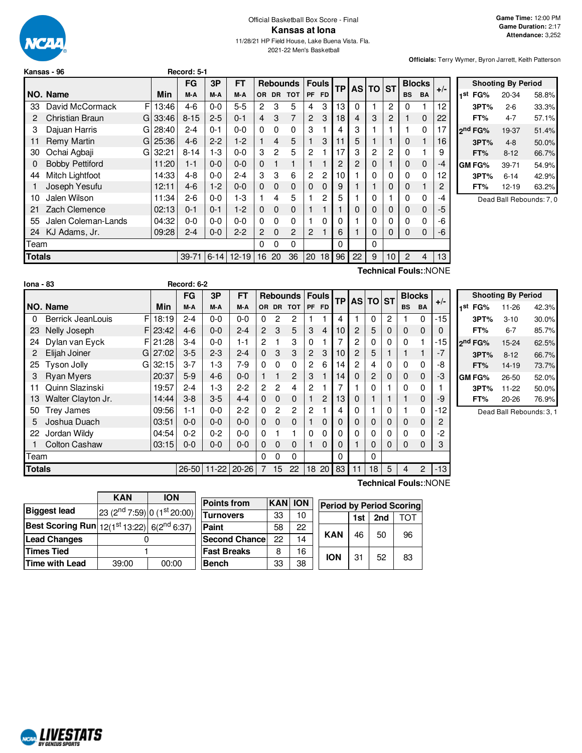

#### Official Basketball Box Score - Final **Kansas at Iona** 11/28/21 HP Field House, Lake Buena Vista. Fla. 2021-22 Men's Basketball

**Officials:** Terry Wymer, Byron Jarrett, Keith Patterson

| Kansas - 96 |  |
|-------------|--|
|             |  |

| <b>Fouls</b><br><b>Blocks</b><br><b>Rebounds</b><br>ТP<br><b>AS</b><br><b>ST</b><br><b>TO</b> |  |           | FT        | 3P       | FG        |       |    |                        |               |
|-----------------------------------------------------------------------------------------------|--|-----------|-----------|----------|-----------|-------|----|------------------------|---------------|
| $+/-$<br><b>FD</b><br><b>DR</b><br><b>TOT</b><br><b>PF</b><br><b>BS</b><br><b>BA</b>          |  | <b>OR</b> | M-A       | M-A      | M-A       | Min   |    | NO. Name               |               |
| 3<br>13<br>2<br>3<br>5<br>12<br>$\Omega$<br>4<br>0                                            |  | 2         | $5 - 5$   | $0 - 0$  | $4-6$     | 13:46 | F  | David McCormack        | 33            |
| 3<br>3<br>7<br>2<br>18<br>3<br>$\overline{c}$<br>$\overline{4}$<br>22<br>$\mathbf{0}$         |  | 4         | $0 - 1$   | $2 - 5$  | $8 - 15$  | 33:46 | GI | <b>Christian Braun</b> | 2             |
| 3<br>3<br>4<br>0<br>$\Omega$<br>0<br>17                                                       |  | $\Omega$  | $0 - 0$   | $0 - 1$  | $2 - 4$   | 28:40 | GI | Dajuan Harris          | 3             |
| 5<br>5<br>3<br>4<br>11<br>1<br>16<br>0                                                        |  |           | $1-2$     | $2 - 2$  | $4-6$     | 25:36 | GI | <b>Remy Martin</b>     | 11            |
| 17<br>3<br>$\overline{c}$<br>2<br>5<br>$\overline{2}$<br>$\overline{2}$<br>0<br>9             |  | 3         | $0 - 0$   | $1-3$    | $8 - 14$  | 32:21 | GI | Ochai Agbaji           | 30            |
| 2<br>2<br>$\mathbf 0$<br>0<br>0<br>-4                                                         |  | $\Omega$  | $0 - 0$   | $0 - 0$  | $1 - 1$   | 11:20 |    | <b>Bobby Pettiford</b> | $\Omega$      |
| 3<br>2<br>$\overline{c}$<br>10<br>0<br>6<br>0<br>0<br>0<br>12                                 |  | 3         | $2 - 4$   | $0 - 0$  | $4 - 8$   | 14:33 |    | Mitch Lightfoot        | 44            |
| $\Omega$<br>$\Omega$<br>$\Omega$<br>0<br>9<br>0<br>0                                          |  | $\Omega$  | $0 - 0$   | $1-2$    | $4-6$     | 12:11 |    | Joseph Yesufu          |               |
| 5<br>2<br>5<br>0<br>4<br>0<br>0<br>-4                                                         |  |           | $1-3$     | $0 - 0$  | $2 - 6$   | 11:34 |    | Jalen Wilson           | 10            |
| $\mathbf 0$<br>$\mathbf{0}$<br>$\Omega$<br>-5<br>0<br>0<br>0<br>0                             |  | $\Omega$  | $1-2$     | $0 - 1$  | $0 - 1$   | 02:13 |    | Zach Clemence          | 21            |
| 0<br>$\Omega$<br>0<br>-6<br>0<br>0<br>0<br>0<br>0                                             |  | 0         | $0 - 0$   | $0 - 0$  | $0 - 0$   | 04:32 |    | Jalen Coleman-Lands    | 55            |
| 2<br>$\overline{2}$<br>6<br>$\Omega$<br>0<br>0<br>$\mathbf 0$<br>0<br>-6                      |  | 2         | $2 - 2$   | $0-0$    | $2 - 4$   | 09:28 |    | KJ Adams, Jr.          | 24            |
| $\Omega$<br>0<br>0<br>0                                                                       |  | 0         |           |          |           |       |    |                        | Team          |
| 20<br>36<br>20<br>18<br>96<br>22<br>9<br>10<br>13<br>$\mathcal{P}$<br>4                       |  | 16        | $12 - 19$ | $6 - 14$ | $39 - 71$ |       |    |                        | <b>Totals</b> |
| -<br>.                                                                                        |  |           |           |          |           |       |    |                        |               |

**Kansas - 96 Record: 5-1**

|     |                     | <b>Shooting By Period</b> |       |
|-----|---------------------|---------------------------|-------|
| 1st | FG%                 | 20-34                     | 58.8% |
|     | 3PT%                | $2 - 6$                   | 33.3% |
|     | FT%                 | 4-7                       | 57.1% |
|     | 2 <sup>nd</sup> FG% | 19-37                     | 51.4% |
|     | 3PT%                | $4 - 8$                   | 50.0% |
|     | FT%                 | $8 - 12$                  | 66.7% |
|     | GM FG%              | 39-71                     | 54.9% |
|     | 3PT%                | $6 - 14$                  | 42.9% |
|     | FT%                 | $12 - 19$                 | 63.2% |

Dead Ball Rebounds: 7, 0

**Technical Fouls:**:NONE

**Technical Fouls:**:NONE

| <b>Iona - 83</b> |                      |             | Record: 6-2 |           |           |                |                |                |                |                |    |          |              |              |             |                |       |         |
|------------------|----------------------|-------------|-------------|-----------|-----------|----------------|----------------|----------------|----------------|----------------|----|----------|--------------|--------------|-------------|----------------|-------|---------|
|                  |                      |             | FG          | 3P        | <b>FT</b> |                |                | Rebounds       | <b>Fouls</b>   |                | ТP |          | <b>AS TO</b> | <b>ST</b>    |             | <b>Blocks</b>  | $+/-$ |         |
|                  | NO. Name             | Min         | M-A         | M-A       | M-A       |                | OR DR          | <b>TOT</b>     |                | PF FD          |    |          |              |              | <b>BS</b>   | BA             |       | 1st     |
| 0                | Berrick JeanLouis    | F<br>18:19  | $2 - 4$     | $0-0$     | $0-0$     | $\Omega$       | 2              | 2              |                |                | 4  |          | $\Omega$     | 2            |             | 0              | $-15$ |         |
| 23               | Nelly Joseph         | F123:42     | $4-6$       | $0-0$     | $2 - 4$   | $\overline{2}$ | 3              | 5              | 3              | 4              | 10 | 2        | 5            | $\mathbf 0$  | $\mathbf 0$ | 0              | 0     |         |
| 24               | Dylan van Eyck       | FI 21:28    | $3 - 4$     | $0-0$     | $1 - 1$   | 2              |                | 3              | 0              |                |    | 2        | 0            | 0            | $\Omega$    |                | -15   | $2^{n}$ |
|                  | Elijah Joiner        | 27:02<br>GI | $3-5$       | $2 - 3$   | $2 - 4$   | $\mathbf{0}$   | 3              | 3              | 2              | 3              | 10 | 2        | 5            |              |             |                | $-7$  |         |
| 25               | Tyson Jolly          | 32:15<br>G  | $3 - 7$     | $1-3$     | $7-9$     | $\Omega$       | $\Omega$       | 0              | 2              | 6              | 14 | 2        | 4            | $\mathbf{0}$ | 0           | 0              | -8    |         |
| 3                | <b>Ryan Myers</b>    | 20:37       | $5-9$       | $4-6$     | $0 - 0$   |                | 1              | $\overline{2}$ | 3              |                | 14 | $\Omega$ | 2            | $\Omega$     | $\Omega$    | 0              | -3    | GN      |
| 11               | Quinn Slazinski      | 19:57       | $2 - 4$     | $1-3$     | $2 - 2$   | $\overline{c}$ | $\overline{2}$ | 4              | $\mathbf{2}$   |                | 7  |          | $\Omega$     |              | 0           | 0              |       |         |
| 13               | Walter Clayton Jr.   | 14:44       | $3 - 8$     | $3-5$     | $4 - 4$   | $\Omega$       | $\Omega$       | $\mathbf{0}$   |                | $\overline{c}$ | 13 | 0        |              |              |             | 0              | -9    |         |
| 50               | <b>Trey James</b>    | 09:56       | 1-1         | $0-0$     | $2 - 2$   | $\Omega$       | 2              | $\overline{2}$ | $\overline{2}$ |                | 4  | 0        |              | 0            |             | 0              | -12   |         |
| 5                | Joshua Duach         | 03:51       | $0 - 0$     | $0 - 0$   | $0 - 0$   | $\mathbf{0}$   | $\Omega$       | $\mathbf{0}$   |                | $\mathbf 0$    | 0  | 0        | 0            | $\mathbf 0$  | $\mathbf 0$ | 0              | 2     |         |
| 22               | Jordan Wildy         | 04:54       | $0 - 2$     | $0 - 2$   | $0 - 0$   | 0              |                | 1              | $\Omega$       | 0              | 0  | 0        | $\Omega$     | $\mathbf{0}$ | 0           | 0              | $-2$  |         |
|                  | <b>Colton Cashaw</b> | 03:15       | $0 - 0$     | $0-0$     | $0 - 0$   | $\Omega$       | $\Omega$       | $\Omega$       |                | $\Omega$       | 0  |          | 0            | $\Omega$     | $\Omega$    | 0              | 3     |         |
| Team             |                      |             |             |           |           | 0              | 0              | 0              |                |                | 0  |          | $\Omega$     |              |             |                |       |         |
| <b>Totals</b>    |                      |             | $26 - 50$   | $11 - 22$ | $20 - 26$ | 7              | 15             | 22             | 18             | 20             | 83 | 11       | 18           | 5            | 4           | $\overline{2}$ | $-13$ |         |

|     | <b>Shooting By Period</b> |           |       |  |  |  |  |  |  |  |
|-----|---------------------------|-----------|-------|--|--|--|--|--|--|--|
| 1st | FG%                       | 11-26     | 42.3% |  |  |  |  |  |  |  |
|     | 3PT%                      | $3 - 10$  | 30.0% |  |  |  |  |  |  |  |
|     | FT%                       | 6-7       | 85.7% |  |  |  |  |  |  |  |
|     | 2 <sup>nd</sup> FG%       | 15-24     | 62.5% |  |  |  |  |  |  |  |
|     | 3PT%                      | $8 - 12$  | 66.7% |  |  |  |  |  |  |  |
|     | FT%                       | 14-19     | 73.7% |  |  |  |  |  |  |  |
|     | GM FG%                    | 26-50     | 52.0% |  |  |  |  |  |  |  |
|     | 3PT%                      | $11 - 22$ | 50.0% |  |  |  |  |  |  |  |
|     | FT%                       | 20-26     | 76.9% |  |  |  |  |  |  |  |

Dead Ball Rebounds: 3, 1

|                                                               | <b>KAN</b>                                          | <b>ION</b> |  |  |  |
|---------------------------------------------------------------|-----------------------------------------------------|------------|--|--|--|
| <b>Biggest lead</b>                                           | 23 (2 <sup>nd</sup> 7:59) 0 (1 <sup>st</sup> 20:00) |            |  |  |  |
| <b>Best Scoring Run</b> 12(1st 13:22) 6(2 <sup>nd</sup> 6:37) |                                                     |            |  |  |  |
| <b>Lead Changes</b>                                           |                                                     |            |  |  |  |
| <b>Times Tied</b>                                             |                                                     |            |  |  |  |
| Time with Lead                                                | 39:00                                               | 00:00      |  |  |  |

**NCAL LIVESTATS** 

| <b>Points from</b>    | <b>KAN</b> | <b>ION</b> | <b>Period by Period Scoring</b> |     |     |     |
|-----------------------|------------|------------|---------------------------------|-----|-----|-----|
| <b>Turnovers</b>      | 33         | 10         |                                 | 1st | 2nd | ТОТ |
| <b>Paint</b>          | 58         | 22         |                                 |     | 50  |     |
| <b>Second Chancel</b> | 22         | 14         | <b>KAN</b>                      | 46  |     | 96  |
| <b>Fast Breaks</b>    | 8          | 16         | <b>ION</b>                      |     |     |     |
| <b>Bench</b>          | 33         | 38         |                                 | 31  | 52  | 83  |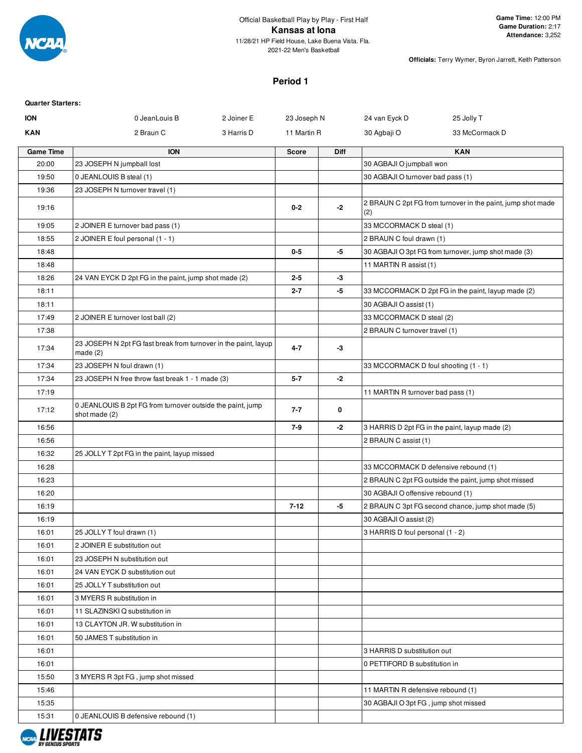

# **Period 1**

| <b>ION</b><br>0 JeanLouis B<br>23 Joseph N<br>24 van Eyck D<br>25 Jolly T<br>2 Joiner E<br>KAN<br>2 Braun C<br>3 Harris D<br>11 Martin R<br>30 Agbaji O<br>33 McCormack D<br><b>Game Time</b><br><b>ION</b><br><b>KAN</b><br><b>Diff</b><br><b>Score</b><br>20:00<br>23 JOSEPH N jumpball lost<br>30 AGBAJI O jumpball won<br>19:50<br>0 JEANLOUIS B steal (1)<br>30 AGBAJI O turnover bad pass (1)<br>19:36<br>23 JOSEPH N turnover travel (1)<br>2 BRAUN C 2pt FG from turnover in the paint, jump shot made<br>$0 - 2$<br>$-2$<br>19:16<br>(2)<br>33 MCCORMACK D steal (1)<br>19:05<br>2 JOINER E turnover bad pass (1)<br>18:55<br>2 JOINER E foul personal (1 - 1)<br>2 BRAUN C foul drawn (1)<br>18:48<br>$0-5$<br>-5<br>30 AGBAJI O 3pt FG from turnover, jump shot made (3)<br>18:48<br>11 MARTIN R assist (1)<br>18:26<br>24 VAN EYCK D 2pt FG in the paint, jump shot made (2)<br>$2 - 5$<br>-3<br>18:11<br>$2 - 7$<br>-5<br>33 MCCORMACK D 2pt FG in the paint, layup made (2)<br>18:11<br>30 AGBAJI O assist (1)<br>17:49<br>2 JOINER E turnover lost ball (2)<br>33 MCCORMACK D steal (2)<br>17:38<br>2 BRAUN C turnover travel (1)<br>23 JOSEPH N 2pt FG fast break from turnover in the paint, layup<br>$4 - 7$<br>17:34<br>-3<br>made $(2)$<br>17:34<br>23 JOSEPH N foul drawn (1)<br>33 MCCORMACK D foul shooting (1 - 1)<br>$-2$<br>17:34<br>$5 - 7$<br>23 JOSEPH N free throw fast break 1 - 1 made (3)<br>17:19<br>11 MARTIN R turnover bad pass (1)<br>0 JEANLOUIS B 2pt FG from turnover outside the paint, jump<br>17:12<br>$7 - 7$<br>0<br>shot made (2)<br>$-2$<br>16:56<br>7-9<br>3 HARRIS D 2pt FG in the paint, layup made (2)<br>16:56<br>2 BRAUN C assist (1)<br>16:32<br>25 JOLLY T 2pt FG in the paint, layup missed<br>16:28<br>33 MCCORMACK D defensive rebound (1)<br>16:23<br>2 BRAUN C 2pt FG outside the paint, jump shot missed<br>16:20<br>30 AGBAJI O offensive rebound (1)<br>$7 - 12$<br>2 BRAUN C 3pt FG second chance, jump shot made (5)<br>16:19<br>-5<br>16:19<br>30 AGBAJI O assist (2)<br>16:01<br>25 JOLLY T foul drawn (1)<br>3 HARRIS D foul personal (1 - 2)<br>2 JOINER E substitution out<br>16:01<br>16:01<br>23 JOSEPH N substitution out<br>16:01<br>24 VAN EYCK D substitution out<br>16:01<br>25 JOLLY T substitution out<br>16:01<br>3 MYERS R substitution in<br>16:01<br>11 SLAZINSKI Q substitution in<br>16:01<br>13 CLAYTON JR. W substitution in<br>50 JAMES T substitution in<br>16:01<br>16:01<br>3 HARRIS D substitution out<br>16:01<br>0 PETTIFORD B substitution in<br>15:50<br>3 MYERS R 3pt FG, jump shot missed<br>15:46<br>11 MARTIN R defensive rebound (1)<br>15:35<br>30 AGBAJI O 3pt FG, jump shot missed | <b>Quarter Starters:</b> |  |  |  |
|---------------------------------------------------------------------------------------------------------------------------------------------------------------------------------------------------------------------------------------------------------------------------------------------------------------------------------------------------------------------------------------------------------------------------------------------------------------------------------------------------------------------------------------------------------------------------------------------------------------------------------------------------------------------------------------------------------------------------------------------------------------------------------------------------------------------------------------------------------------------------------------------------------------------------------------------------------------------------------------------------------------------------------------------------------------------------------------------------------------------------------------------------------------------------------------------------------------------------------------------------------------------------------------------------------------------------------------------------------------------------------------------------------------------------------------------------------------------------------------------------------------------------------------------------------------------------------------------------------------------------------------------------------------------------------------------------------------------------------------------------------------------------------------------------------------------------------------------------------------------------------------------------------------------------------------------------------------------------------------------------------------------------------------------------------------------------------------------------------------------------------------------------------------------------------------------------------------------------------------------------------------------------------------------------------------------------------------------------------------------------------------------------------------------------------------------------------------------------------------------------------------------------------------------------------------------------------------------------------------------------------------------------------------------------------------------|--------------------------|--|--|--|
|                                                                                                                                                                                                                                                                                                                                                                                                                                                                                                                                                                                                                                                                                                                                                                                                                                                                                                                                                                                                                                                                                                                                                                                                                                                                                                                                                                                                                                                                                                                                                                                                                                                                                                                                                                                                                                                                                                                                                                                                                                                                                                                                                                                                                                                                                                                                                                                                                                                                                                                                                                                                                                                                                             |                          |  |  |  |
|                                                                                                                                                                                                                                                                                                                                                                                                                                                                                                                                                                                                                                                                                                                                                                                                                                                                                                                                                                                                                                                                                                                                                                                                                                                                                                                                                                                                                                                                                                                                                                                                                                                                                                                                                                                                                                                                                                                                                                                                                                                                                                                                                                                                                                                                                                                                                                                                                                                                                                                                                                                                                                                                                             |                          |  |  |  |
|                                                                                                                                                                                                                                                                                                                                                                                                                                                                                                                                                                                                                                                                                                                                                                                                                                                                                                                                                                                                                                                                                                                                                                                                                                                                                                                                                                                                                                                                                                                                                                                                                                                                                                                                                                                                                                                                                                                                                                                                                                                                                                                                                                                                                                                                                                                                                                                                                                                                                                                                                                                                                                                                                             |                          |  |  |  |
|                                                                                                                                                                                                                                                                                                                                                                                                                                                                                                                                                                                                                                                                                                                                                                                                                                                                                                                                                                                                                                                                                                                                                                                                                                                                                                                                                                                                                                                                                                                                                                                                                                                                                                                                                                                                                                                                                                                                                                                                                                                                                                                                                                                                                                                                                                                                                                                                                                                                                                                                                                                                                                                                                             |                          |  |  |  |
|                                                                                                                                                                                                                                                                                                                                                                                                                                                                                                                                                                                                                                                                                                                                                                                                                                                                                                                                                                                                                                                                                                                                                                                                                                                                                                                                                                                                                                                                                                                                                                                                                                                                                                                                                                                                                                                                                                                                                                                                                                                                                                                                                                                                                                                                                                                                                                                                                                                                                                                                                                                                                                                                                             |                          |  |  |  |
|                                                                                                                                                                                                                                                                                                                                                                                                                                                                                                                                                                                                                                                                                                                                                                                                                                                                                                                                                                                                                                                                                                                                                                                                                                                                                                                                                                                                                                                                                                                                                                                                                                                                                                                                                                                                                                                                                                                                                                                                                                                                                                                                                                                                                                                                                                                                                                                                                                                                                                                                                                                                                                                                                             |                          |  |  |  |
|                                                                                                                                                                                                                                                                                                                                                                                                                                                                                                                                                                                                                                                                                                                                                                                                                                                                                                                                                                                                                                                                                                                                                                                                                                                                                                                                                                                                                                                                                                                                                                                                                                                                                                                                                                                                                                                                                                                                                                                                                                                                                                                                                                                                                                                                                                                                                                                                                                                                                                                                                                                                                                                                                             |                          |  |  |  |
|                                                                                                                                                                                                                                                                                                                                                                                                                                                                                                                                                                                                                                                                                                                                                                                                                                                                                                                                                                                                                                                                                                                                                                                                                                                                                                                                                                                                                                                                                                                                                                                                                                                                                                                                                                                                                                                                                                                                                                                                                                                                                                                                                                                                                                                                                                                                                                                                                                                                                                                                                                                                                                                                                             |                          |  |  |  |
|                                                                                                                                                                                                                                                                                                                                                                                                                                                                                                                                                                                                                                                                                                                                                                                                                                                                                                                                                                                                                                                                                                                                                                                                                                                                                                                                                                                                                                                                                                                                                                                                                                                                                                                                                                                                                                                                                                                                                                                                                                                                                                                                                                                                                                                                                                                                                                                                                                                                                                                                                                                                                                                                                             |                          |  |  |  |
|                                                                                                                                                                                                                                                                                                                                                                                                                                                                                                                                                                                                                                                                                                                                                                                                                                                                                                                                                                                                                                                                                                                                                                                                                                                                                                                                                                                                                                                                                                                                                                                                                                                                                                                                                                                                                                                                                                                                                                                                                                                                                                                                                                                                                                                                                                                                                                                                                                                                                                                                                                                                                                                                                             |                          |  |  |  |
|                                                                                                                                                                                                                                                                                                                                                                                                                                                                                                                                                                                                                                                                                                                                                                                                                                                                                                                                                                                                                                                                                                                                                                                                                                                                                                                                                                                                                                                                                                                                                                                                                                                                                                                                                                                                                                                                                                                                                                                                                                                                                                                                                                                                                                                                                                                                                                                                                                                                                                                                                                                                                                                                                             |                          |  |  |  |
|                                                                                                                                                                                                                                                                                                                                                                                                                                                                                                                                                                                                                                                                                                                                                                                                                                                                                                                                                                                                                                                                                                                                                                                                                                                                                                                                                                                                                                                                                                                                                                                                                                                                                                                                                                                                                                                                                                                                                                                                                                                                                                                                                                                                                                                                                                                                                                                                                                                                                                                                                                                                                                                                                             |                          |  |  |  |
|                                                                                                                                                                                                                                                                                                                                                                                                                                                                                                                                                                                                                                                                                                                                                                                                                                                                                                                                                                                                                                                                                                                                                                                                                                                                                                                                                                                                                                                                                                                                                                                                                                                                                                                                                                                                                                                                                                                                                                                                                                                                                                                                                                                                                                                                                                                                                                                                                                                                                                                                                                                                                                                                                             |                          |  |  |  |
|                                                                                                                                                                                                                                                                                                                                                                                                                                                                                                                                                                                                                                                                                                                                                                                                                                                                                                                                                                                                                                                                                                                                                                                                                                                                                                                                                                                                                                                                                                                                                                                                                                                                                                                                                                                                                                                                                                                                                                                                                                                                                                                                                                                                                                                                                                                                                                                                                                                                                                                                                                                                                                                                                             |                          |  |  |  |
|                                                                                                                                                                                                                                                                                                                                                                                                                                                                                                                                                                                                                                                                                                                                                                                                                                                                                                                                                                                                                                                                                                                                                                                                                                                                                                                                                                                                                                                                                                                                                                                                                                                                                                                                                                                                                                                                                                                                                                                                                                                                                                                                                                                                                                                                                                                                                                                                                                                                                                                                                                                                                                                                                             |                          |  |  |  |
|                                                                                                                                                                                                                                                                                                                                                                                                                                                                                                                                                                                                                                                                                                                                                                                                                                                                                                                                                                                                                                                                                                                                                                                                                                                                                                                                                                                                                                                                                                                                                                                                                                                                                                                                                                                                                                                                                                                                                                                                                                                                                                                                                                                                                                                                                                                                                                                                                                                                                                                                                                                                                                                                                             |                          |  |  |  |
|                                                                                                                                                                                                                                                                                                                                                                                                                                                                                                                                                                                                                                                                                                                                                                                                                                                                                                                                                                                                                                                                                                                                                                                                                                                                                                                                                                                                                                                                                                                                                                                                                                                                                                                                                                                                                                                                                                                                                                                                                                                                                                                                                                                                                                                                                                                                                                                                                                                                                                                                                                                                                                                                                             |                          |  |  |  |
|                                                                                                                                                                                                                                                                                                                                                                                                                                                                                                                                                                                                                                                                                                                                                                                                                                                                                                                                                                                                                                                                                                                                                                                                                                                                                                                                                                                                                                                                                                                                                                                                                                                                                                                                                                                                                                                                                                                                                                                                                                                                                                                                                                                                                                                                                                                                                                                                                                                                                                                                                                                                                                                                                             |                          |  |  |  |
|                                                                                                                                                                                                                                                                                                                                                                                                                                                                                                                                                                                                                                                                                                                                                                                                                                                                                                                                                                                                                                                                                                                                                                                                                                                                                                                                                                                                                                                                                                                                                                                                                                                                                                                                                                                                                                                                                                                                                                                                                                                                                                                                                                                                                                                                                                                                                                                                                                                                                                                                                                                                                                                                                             |                          |  |  |  |
|                                                                                                                                                                                                                                                                                                                                                                                                                                                                                                                                                                                                                                                                                                                                                                                                                                                                                                                                                                                                                                                                                                                                                                                                                                                                                                                                                                                                                                                                                                                                                                                                                                                                                                                                                                                                                                                                                                                                                                                                                                                                                                                                                                                                                                                                                                                                                                                                                                                                                                                                                                                                                                                                                             |                          |  |  |  |
|                                                                                                                                                                                                                                                                                                                                                                                                                                                                                                                                                                                                                                                                                                                                                                                                                                                                                                                                                                                                                                                                                                                                                                                                                                                                                                                                                                                                                                                                                                                                                                                                                                                                                                                                                                                                                                                                                                                                                                                                                                                                                                                                                                                                                                                                                                                                                                                                                                                                                                                                                                                                                                                                                             |                          |  |  |  |
|                                                                                                                                                                                                                                                                                                                                                                                                                                                                                                                                                                                                                                                                                                                                                                                                                                                                                                                                                                                                                                                                                                                                                                                                                                                                                                                                                                                                                                                                                                                                                                                                                                                                                                                                                                                                                                                                                                                                                                                                                                                                                                                                                                                                                                                                                                                                                                                                                                                                                                                                                                                                                                                                                             |                          |  |  |  |
|                                                                                                                                                                                                                                                                                                                                                                                                                                                                                                                                                                                                                                                                                                                                                                                                                                                                                                                                                                                                                                                                                                                                                                                                                                                                                                                                                                                                                                                                                                                                                                                                                                                                                                                                                                                                                                                                                                                                                                                                                                                                                                                                                                                                                                                                                                                                                                                                                                                                                                                                                                                                                                                                                             |                          |  |  |  |
|                                                                                                                                                                                                                                                                                                                                                                                                                                                                                                                                                                                                                                                                                                                                                                                                                                                                                                                                                                                                                                                                                                                                                                                                                                                                                                                                                                                                                                                                                                                                                                                                                                                                                                                                                                                                                                                                                                                                                                                                                                                                                                                                                                                                                                                                                                                                                                                                                                                                                                                                                                                                                                                                                             |                          |  |  |  |
|                                                                                                                                                                                                                                                                                                                                                                                                                                                                                                                                                                                                                                                                                                                                                                                                                                                                                                                                                                                                                                                                                                                                                                                                                                                                                                                                                                                                                                                                                                                                                                                                                                                                                                                                                                                                                                                                                                                                                                                                                                                                                                                                                                                                                                                                                                                                                                                                                                                                                                                                                                                                                                                                                             |                          |  |  |  |
|                                                                                                                                                                                                                                                                                                                                                                                                                                                                                                                                                                                                                                                                                                                                                                                                                                                                                                                                                                                                                                                                                                                                                                                                                                                                                                                                                                                                                                                                                                                                                                                                                                                                                                                                                                                                                                                                                                                                                                                                                                                                                                                                                                                                                                                                                                                                                                                                                                                                                                                                                                                                                                                                                             |                          |  |  |  |
|                                                                                                                                                                                                                                                                                                                                                                                                                                                                                                                                                                                                                                                                                                                                                                                                                                                                                                                                                                                                                                                                                                                                                                                                                                                                                                                                                                                                                                                                                                                                                                                                                                                                                                                                                                                                                                                                                                                                                                                                                                                                                                                                                                                                                                                                                                                                                                                                                                                                                                                                                                                                                                                                                             |                          |  |  |  |
|                                                                                                                                                                                                                                                                                                                                                                                                                                                                                                                                                                                                                                                                                                                                                                                                                                                                                                                                                                                                                                                                                                                                                                                                                                                                                                                                                                                                                                                                                                                                                                                                                                                                                                                                                                                                                                                                                                                                                                                                                                                                                                                                                                                                                                                                                                                                                                                                                                                                                                                                                                                                                                                                                             |                          |  |  |  |
|                                                                                                                                                                                                                                                                                                                                                                                                                                                                                                                                                                                                                                                                                                                                                                                                                                                                                                                                                                                                                                                                                                                                                                                                                                                                                                                                                                                                                                                                                                                                                                                                                                                                                                                                                                                                                                                                                                                                                                                                                                                                                                                                                                                                                                                                                                                                                                                                                                                                                                                                                                                                                                                                                             |                          |  |  |  |
|                                                                                                                                                                                                                                                                                                                                                                                                                                                                                                                                                                                                                                                                                                                                                                                                                                                                                                                                                                                                                                                                                                                                                                                                                                                                                                                                                                                                                                                                                                                                                                                                                                                                                                                                                                                                                                                                                                                                                                                                                                                                                                                                                                                                                                                                                                                                                                                                                                                                                                                                                                                                                                                                                             |                          |  |  |  |
|                                                                                                                                                                                                                                                                                                                                                                                                                                                                                                                                                                                                                                                                                                                                                                                                                                                                                                                                                                                                                                                                                                                                                                                                                                                                                                                                                                                                                                                                                                                                                                                                                                                                                                                                                                                                                                                                                                                                                                                                                                                                                                                                                                                                                                                                                                                                                                                                                                                                                                                                                                                                                                                                                             |                          |  |  |  |
|                                                                                                                                                                                                                                                                                                                                                                                                                                                                                                                                                                                                                                                                                                                                                                                                                                                                                                                                                                                                                                                                                                                                                                                                                                                                                                                                                                                                                                                                                                                                                                                                                                                                                                                                                                                                                                                                                                                                                                                                                                                                                                                                                                                                                                                                                                                                                                                                                                                                                                                                                                                                                                                                                             |                          |  |  |  |
|                                                                                                                                                                                                                                                                                                                                                                                                                                                                                                                                                                                                                                                                                                                                                                                                                                                                                                                                                                                                                                                                                                                                                                                                                                                                                                                                                                                                                                                                                                                                                                                                                                                                                                                                                                                                                                                                                                                                                                                                                                                                                                                                                                                                                                                                                                                                                                                                                                                                                                                                                                                                                                                                                             |                          |  |  |  |
|                                                                                                                                                                                                                                                                                                                                                                                                                                                                                                                                                                                                                                                                                                                                                                                                                                                                                                                                                                                                                                                                                                                                                                                                                                                                                                                                                                                                                                                                                                                                                                                                                                                                                                                                                                                                                                                                                                                                                                                                                                                                                                                                                                                                                                                                                                                                                                                                                                                                                                                                                                                                                                                                                             |                          |  |  |  |
|                                                                                                                                                                                                                                                                                                                                                                                                                                                                                                                                                                                                                                                                                                                                                                                                                                                                                                                                                                                                                                                                                                                                                                                                                                                                                                                                                                                                                                                                                                                                                                                                                                                                                                                                                                                                                                                                                                                                                                                                                                                                                                                                                                                                                                                                                                                                                                                                                                                                                                                                                                                                                                                                                             |                          |  |  |  |
|                                                                                                                                                                                                                                                                                                                                                                                                                                                                                                                                                                                                                                                                                                                                                                                                                                                                                                                                                                                                                                                                                                                                                                                                                                                                                                                                                                                                                                                                                                                                                                                                                                                                                                                                                                                                                                                                                                                                                                                                                                                                                                                                                                                                                                                                                                                                                                                                                                                                                                                                                                                                                                                                                             |                          |  |  |  |
|                                                                                                                                                                                                                                                                                                                                                                                                                                                                                                                                                                                                                                                                                                                                                                                                                                                                                                                                                                                                                                                                                                                                                                                                                                                                                                                                                                                                                                                                                                                                                                                                                                                                                                                                                                                                                                                                                                                                                                                                                                                                                                                                                                                                                                                                                                                                                                                                                                                                                                                                                                                                                                                                                             |                          |  |  |  |
|                                                                                                                                                                                                                                                                                                                                                                                                                                                                                                                                                                                                                                                                                                                                                                                                                                                                                                                                                                                                                                                                                                                                                                                                                                                                                                                                                                                                                                                                                                                                                                                                                                                                                                                                                                                                                                                                                                                                                                                                                                                                                                                                                                                                                                                                                                                                                                                                                                                                                                                                                                                                                                                                                             |                          |  |  |  |
|                                                                                                                                                                                                                                                                                                                                                                                                                                                                                                                                                                                                                                                                                                                                                                                                                                                                                                                                                                                                                                                                                                                                                                                                                                                                                                                                                                                                                                                                                                                                                                                                                                                                                                                                                                                                                                                                                                                                                                                                                                                                                                                                                                                                                                                                                                                                                                                                                                                                                                                                                                                                                                                                                             |                          |  |  |  |
|                                                                                                                                                                                                                                                                                                                                                                                                                                                                                                                                                                                                                                                                                                                                                                                                                                                                                                                                                                                                                                                                                                                                                                                                                                                                                                                                                                                                                                                                                                                                                                                                                                                                                                                                                                                                                                                                                                                                                                                                                                                                                                                                                                                                                                                                                                                                                                                                                                                                                                                                                                                                                                                                                             |                          |  |  |  |
|                                                                                                                                                                                                                                                                                                                                                                                                                                                                                                                                                                                                                                                                                                                                                                                                                                                                                                                                                                                                                                                                                                                                                                                                                                                                                                                                                                                                                                                                                                                                                                                                                                                                                                                                                                                                                                                                                                                                                                                                                                                                                                                                                                                                                                                                                                                                                                                                                                                                                                                                                                                                                                                                                             |                          |  |  |  |
|                                                                                                                                                                                                                                                                                                                                                                                                                                                                                                                                                                                                                                                                                                                                                                                                                                                                                                                                                                                                                                                                                                                                                                                                                                                                                                                                                                                                                                                                                                                                                                                                                                                                                                                                                                                                                                                                                                                                                                                                                                                                                                                                                                                                                                                                                                                                                                                                                                                                                                                                                                                                                                                                                             |                          |  |  |  |
|                                                                                                                                                                                                                                                                                                                                                                                                                                                                                                                                                                                                                                                                                                                                                                                                                                                                                                                                                                                                                                                                                                                                                                                                                                                                                                                                                                                                                                                                                                                                                                                                                                                                                                                                                                                                                                                                                                                                                                                                                                                                                                                                                                                                                                                                                                                                                                                                                                                                                                                                                                                                                                                                                             |                          |  |  |  |
| 15:31<br>0 JEANLOUIS B defensive rebound (1)                                                                                                                                                                                                                                                                                                                                                                                                                                                                                                                                                                                                                                                                                                                                                                                                                                                                                                                                                                                                                                                                                                                                                                                                                                                                                                                                                                                                                                                                                                                                                                                                                                                                                                                                                                                                                                                                                                                                                                                                                                                                                                                                                                                                                                                                                                                                                                                                                                                                                                                                                                                                                                                |                          |  |  |  |

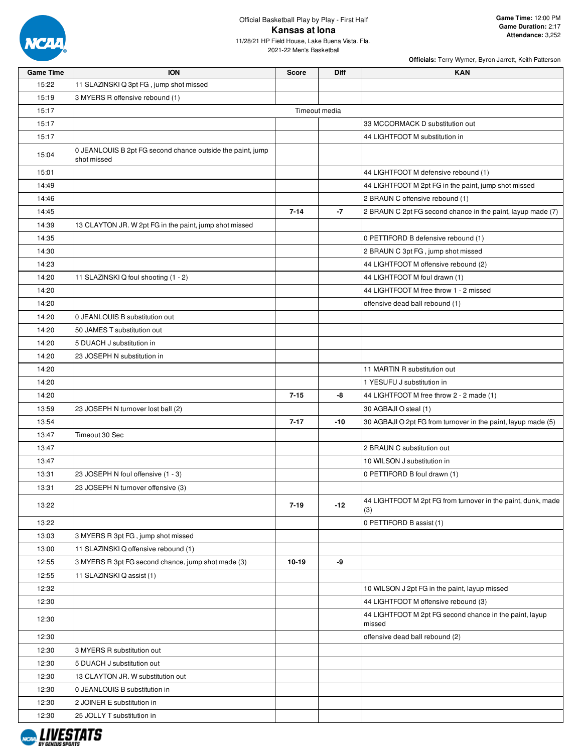

2021-22 Men's Basketball

| <b>Game Time</b> | <b>ION</b>                                                                | <b>Score</b>  | Diff  | <b>KAN</b>                                                          |
|------------------|---------------------------------------------------------------------------|---------------|-------|---------------------------------------------------------------------|
| 15:22            | 11 SLAZINSKI Q 3pt FG, jump shot missed                                   |               |       |                                                                     |
| 15:19            | 3 MYERS R offensive rebound (1)                                           |               |       |                                                                     |
| 15:17            |                                                                           | Timeout media |       |                                                                     |
| 15:17            |                                                                           |               |       | 33 MCCORMACK D substitution out                                     |
| 15:17            |                                                                           |               |       | 44 LIGHTFOOT M substitution in                                      |
| 15:04            | 0 JEANLOUIS B 2pt FG second chance outside the paint, jump<br>shot missed |               |       |                                                                     |
| 15:01            |                                                                           |               |       | 44 LIGHTFOOT M defensive rebound (1)                                |
| 14:49            |                                                                           |               |       | 44 LIGHTFOOT M 2pt FG in the paint, jump shot missed                |
| 14:46            |                                                                           |               |       | 2 BRAUN C offensive rebound (1)                                     |
| 14:45            |                                                                           | $7 - 14$      | $-7$  | 2 BRAUN C 2pt FG second chance in the paint, layup made (7)         |
| 14:39            | 13 CLAYTON JR. W 2pt FG in the paint, jump shot missed                    |               |       |                                                                     |
| 14:35            |                                                                           |               |       | 0 PETTIFORD B defensive rebound (1)                                 |
| 14:30            |                                                                           |               |       | 2 BRAUN C 3pt FG, jump shot missed                                  |
| 14:23            |                                                                           |               |       | 44 LIGHTFOOT M offensive rebound (2)                                |
| 14:20            | 11 SLAZINSKI Q foul shooting (1 - 2)                                      |               |       | 44 LIGHTFOOT M foul drawn (1)                                       |
|                  |                                                                           |               |       |                                                                     |
| 14:20            |                                                                           |               |       | 44 LIGHTFOOT M free throw 1 - 2 missed                              |
| 14:20            |                                                                           |               |       | offensive dead ball rebound (1)                                     |
| 14:20            | 0 JEANLOUIS B substitution out                                            |               |       |                                                                     |
| 14:20            | 50 JAMES T substitution out                                               |               |       |                                                                     |
| 14:20            | 5 DUACH J substitution in                                                 |               |       |                                                                     |
| 14:20            | 23 JOSEPH N substitution in                                               |               |       |                                                                     |
| 14:20            |                                                                           |               |       | 11 MARTIN R substitution out                                        |
| 14:20            |                                                                           |               |       | 1 YESUFU J substitution in                                          |
| 14:20            |                                                                           | $7 - 15$      | -8    | 44 LIGHTFOOT M free throw 2 - 2 made (1)                            |
| 13:59            | 23 JOSEPH N turnover lost ball (2)                                        |               |       | 30 AGBAJI O steal (1)                                               |
| 13:54            |                                                                           | $7 - 17$      | $-10$ | 30 AGBAJI O 2pt FG from turnover in the paint, layup made (5)       |
| 13:47            | Timeout 30 Sec                                                            |               |       |                                                                     |
| 13:47            |                                                                           |               |       | 2 BRAUN C substitution out                                          |
| 13:47            |                                                                           |               |       | 10 WILSON J substitution in                                         |
| 13:31            | 23 JOSEPH N foul offensive (1 - 3)                                        |               |       | 0 PETTIFORD B foul drawn (1)                                        |
| 13:31            | 23 JOSEPH N turnover offensive (3)                                        |               |       |                                                                     |
| 13:22            |                                                                           | $7 - 19$      | $-12$ | 44 LIGHTFOOT M 2pt FG from turnover in the paint, dunk, made<br>(3) |
| 13:22            |                                                                           |               |       | 0 PETTIFORD B assist (1)                                            |
| 13:03            | 3 MYERS R 3pt FG, jump shot missed                                        |               |       |                                                                     |
| 13:00            | 11 SLAZINSKI Q offensive rebound (1)                                      |               |       |                                                                     |
| 12:55            | 3 MYERS R 3pt FG second chance, jump shot made (3)                        | 10-19         | -9    |                                                                     |
| 12:55            | 11 SLAZINSKI Q assist (1)                                                 |               |       |                                                                     |
| 12:32            |                                                                           |               |       | 10 WILSON J 2pt FG in the paint, layup missed                       |
| 12:30            |                                                                           |               |       | 44 LIGHTFOOT M offensive rebound (3)                                |
| 12:30            |                                                                           |               |       | 44 LIGHTFOOT M 2pt FG second chance in the paint, layup<br>missed   |
| 12:30            |                                                                           |               |       | offensive dead ball rebound (2)                                     |
| 12:30            | 3 MYERS R substitution out                                                |               |       |                                                                     |
| 12:30            | 5 DUACH J substitution out                                                |               |       |                                                                     |
| 12:30            | 13 CLAYTON JR. W substitution out                                         |               |       |                                                                     |
| 12:30            | 0 JEANLOUIS B substitution in                                             |               |       |                                                                     |
| 12:30            | 2 JOINER E substitution in                                                |               |       |                                                                     |
| 12:30            | 25 JOLLY T substitution in                                                |               |       |                                                                     |
|                  |                                                                           |               |       |                                                                     |

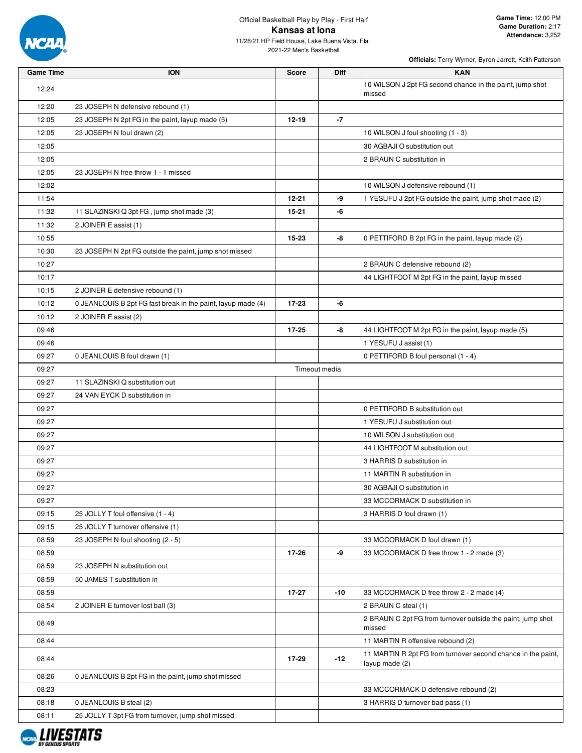

2021-22 Men's Basketball

| <b>Game Time</b> | <b>ION</b>                                                   | <b>Score</b> | <b>Diff</b>   | <b>KAN</b>                                                                     |
|------------------|--------------------------------------------------------------|--------------|---------------|--------------------------------------------------------------------------------|
| 12:24            |                                                              |              |               | 10 WILSON J 2pt FG second chance in the paint, jump shot<br>missed             |
| 12:20            | 23 JOSEPH N defensive rebound (1)                            |              |               |                                                                                |
| 12:05            | 23 JOSEPH N 2pt FG in the paint, layup made (5)              | $12 - 19$    | $-7$          |                                                                                |
| 12:05            | 23 JOSEPH N foul drawn (2)                                   |              |               | 10 WILSON J foul shooting (1 - 3)                                              |
| 12:05            |                                                              |              |               | 30 AGBAJI O substitution out                                                   |
| 12:05            |                                                              |              |               | 2 BRAUN C substitution in                                                      |
| 12:05            | 23 JOSEPH N free throw 1 - 1 missed                          |              |               |                                                                                |
| 12:02            |                                                              |              |               | 10 WILSON J defensive rebound (1)                                              |
| 11:54            |                                                              | $12 - 21$    | -9            | 1 YESUFU J 2pt FG outside the paint, jump shot made (2)                        |
| 11:32            | 11 SLAZINSKI Q 3pt FG, jump shot made (3)                    | 15-21        | -6            |                                                                                |
| 11:32            | 2 JOINER E assist (1)                                        |              |               |                                                                                |
| 10:55            |                                                              | 15-23        | -8            | 0 PETTIFORD B 2pt FG in the paint, layup made (2)                              |
| 10:30            | 23 JOSEPH N 2pt FG outside the paint, jump shot missed       |              |               |                                                                                |
| 10:27            |                                                              |              |               | 2 BRAUN C defensive rebound (2)                                                |
| 10:17            |                                                              |              |               | 44 LIGHTFOOT M 2pt FG in the paint, layup missed                               |
| 10:15            | 2 JOINER E defensive rebound (1)                             |              |               |                                                                                |
| 10:12            | 0 JEANLOUIS B 2pt FG fast break in the paint, layup made (4) | 17-23        | -6            |                                                                                |
| 10:12            | 2 JOINER E assist (2)                                        |              |               |                                                                                |
| 09:46            |                                                              | 17-25        | -8            | 44 LIGHTFOOT M 2pt FG in the paint, layup made (5)                             |
| 09:46            |                                                              |              |               | 1 YESUFU J assist (1)                                                          |
| 09:27            | 0 JEANLOUIS B foul drawn (1)                                 |              |               | 0 PETTIFORD B foul personal (1 - 4)                                            |
| 09:27            |                                                              |              | Timeout media |                                                                                |
| 09:27            | 11 SLAZINSKI Q substitution out                              |              |               |                                                                                |
| 09:27            | 24 VAN EYCK D substitution in                                |              |               |                                                                                |
| 09:27            |                                                              |              |               | 0 PETTIFORD B substitution out                                                 |
| 09:27            |                                                              |              |               | 1 YESUFU J substitution out                                                    |
| 09:27            |                                                              |              |               | 10 WILSON J substitution out                                                   |
| 09:27            |                                                              |              |               | 44 LIGHTFOOT M substitution out                                                |
| 09:27            |                                                              |              |               | 3 HARRIS D substitution in                                                     |
| 09:27            |                                                              |              |               | 11 MARTIN R substitution in                                                    |
| 09:27            |                                                              |              |               | 30 AGBAJI O substitution in                                                    |
| 09:27            |                                                              |              |               | 33 MCCORMACK D substitution in                                                 |
| 09:15            | 25 JOLLY T foul offensive (1 - 4)                            |              |               | 3 HARRIS D foul drawn (1)                                                      |
| 09:15            | 25 JOLLY T turnover offensive (1)                            |              |               |                                                                                |
| 08:59            | 23 JOSEPH N foul shooting (2 - 5)                            |              |               | 33 MCCORMACK D foul drawn (1)                                                  |
| 08:59            |                                                              | 17-26        | -9            | 33 MCCORMACK D free throw 1 - 2 made (3)                                       |
| 08:59            | 23 JOSEPH N substitution out                                 |              |               |                                                                                |
| 08:59            | 50 JAMES T substitution in                                   |              |               |                                                                                |
| 08:59            |                                                              | $17 - 27$    | $-10$         | 33 MCCORMACK D free throw 2 - 2 made (4)                                       |
| 08:54            | 2 JOINER E turnover lost ball (3)                            |              |               | 2 BRAUN C steal (1)                                                            |
| 08:49            |                                                              |              |               | 2 BRAUN C 2pt FG from turnover outside the paint, jump shot<br>missed          |
| 08:44            |                                                              |              |               | 11 MARTIN R offensive rebound (2)                                              |
| 08:44            |                                                              | 17-29        | $-12$         | 11 MARTIN R 2pt FG from turnover second chance in the paint,<br>layup made (2) |
| 08:26            | 0 JEANLOUIS B 2pt FG in the paint, jump shot missed          |              |               |                                                                                |
| 08:23            |                                                              |              |               | 33 MCCORMACK D defensive rebound (2)                                           |
| 08:18            | 0 JEANLOUIS B steal (2)                                      |              |               | 3 HARRIS D turnover bad pass (1)                                               |
| 08:11            | 25 JOLLY T 3pt FG from turnover, jump shot missed            |              |               |                                                                                |

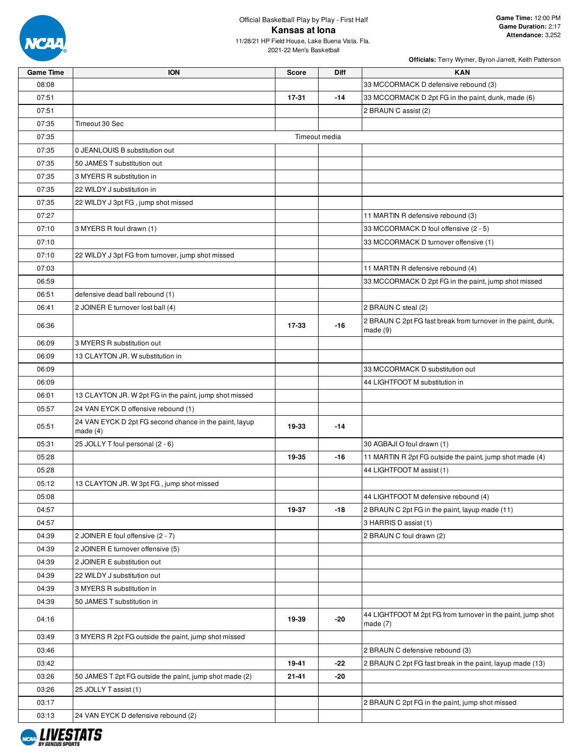

2021-22 Men's Basketball

| <b>Game Time</b> | <b>ION</b>                                                           | <b>Score</b>  | Diff  | <b>KAN</b>                                                                |
|------------------|----------------------------------------------------------------------|---------------|-------|---------------------------------------------------------------------------|
| 08:08            |                                                                      |               |       | 33 MCCORMACK D defensive rebound (3)                                      |
| 07:51            |                                                                      | 17-31         | $-14$ | 33 MCCORMACK D 2pt FG in the paint, dunk, made (6)                        |
| 07:51            |                                                                      |               |       | 2 BRAUN C assist (2)                                                      |
| 07:35            | Timeout 30 Sec                                                       |               |       |                                                                           |
| 07:35            |                                                                      | Timeout media |       |                                                                           |
| 07:35            | 0 JEANLOUIS B substitution out                                       |               |       |                                                                           |
| 07:35            | 50 JAMES T substitution out                                          |               |       |                                                                           |
| 07:35            | 3 MYERS R substitution in                                            |               |       |                                                                           |
| 07:35            | 22 WILDY J substitution in                                           |               |       |                                                                           |
| 07:35            | 22 WILDY J 3pt FG, jump shot missed                                  |               |       |                                                                           |
| 07:27            |                                                                      |               |       | 11 MARTIN R defensive rebound (3)                                         |
| 07:10            | 3 MYERS R foul drawn (1)                                             |               |       | 33 MCCORMACK D foul offensive (2 - 5)                                     |
| 07:10            |                                                                      |               |       | 33 MCCORMACK D turnover offensive (1)                                     |
| 07:10            | 22 WILDY J 3pt FG from turnover, jump shot missed                    |               |       |                                                                           |
| 07:03            |                                                                      |               |       | 11 MARTIN R defensive rebound (4)                                         |
| 06:59            |                                                                      |               |       | 33 MCCORMACK D 2pt FG in the paint, jump shot missed                      |
| 06:51            | defensive dead ball rebound (1)                                      |               |       |                                                                           |
| 06:41            | 2 JOINER E turnover lost ball (4)                                    |               |       | 2 BRAUN C steal (2)                                                       |
| 06:36            |                                                                      | 17-33         | -16   | 2 BRAUN C 2pt FG fast break from turnover in the paint, dunk,<br>made(9)  |
| 06:09            | 3 MYERS R substitution out                                           |               |       |                                                                           |
| 06:09            | 13 CLAYTON JR. W substitution in                                     |               |       |                                                                           |
| 06:09            |                                                                      |               |       | 33 MCCORMACK D substitution out                                           |
| 06:09            |                                                                      |               |       | 44 LIGHTFOOT M substitution in                                            |
| 06:01            | 13 CLAYTON JR. W 2pt FG in the paint, jump shot missed               |               |       |                                                                           |
| 05:57            | 24 VAN EYCK D offensive rebound (1)                                  |               |       |                                                                           |
| 05:51            | 24 VAN EYCK D 2pt FG second chance in the paint, layup<br>made $(4)$ | 19-33         | $-14$ |                                                                           |
| 05:31            | 25 JOLLY T foul personal (2 - 6)                                     |               |       | 30 AGBAJI O foul drawn (1)                                                |
| 05:28            |                                                                      | 19-35         | -16   | 11 MARTIN R 2pt FG outside the paint, jump shot made (4)                  |
| 05:28            |                                                                      |               |       | 44 LIGHTFOOT M assist (1)                                                 |
| 05:12            | 13 CLAYTON JR. W 3pt FG, jump shot missed                            |               |       |                                                                           |
| 05:08            |                                                                      |               |       | 44 LIGHTFOOT M defensive rebound (4)                                      |
| 04:57            |                                                                      | 19-37         | -18   | 2 BRAUN C 2pt FG in the paint, layup made (11)                            |
| 04:57            |                                                                      |               |       | 3 HARRIS D assist (1)                                                     |
| 04:39            | 2 JOINER E foul offensive (2 - 7)                                    |               |       | 2 BRAUN C foul drawn (2)                                                  |
| 04:39            | 2 JOINER E turnover offensive (5)                                    |               |       |                                                                           |
| 04:39            | 2 JOINER E substitution out                                          |               |       |                                                                           |
| 04:39            | 22 WILDY J substitution out                                          |               |       |                                                                           |
| 04:39            | 3 MYERS R substitution in                                            |               |       |                                                                           |
| 04:39            | 50 JAMES T substitution in                                           |               |       |                                                                           |
| 04:16            |                                                                      | 19-39         | -20   | 44 LIGHTFOOT M 2pt FG from turnover in the paint, jump shot<br>made $(7)$ |
| 03:49            | 3 MYERS R 2pt FG outside the paint, jump shot missed                 |               |       |                                                                           |
| 03:46            |                                                                      |               |       | 2 BRAUN C defensive rebound (3)                                           |
| 03:42            |                                                                      | 19-41         | $-22$ | 2 BRAUN C 2pt FG fast break in the paint, layup made (13)                 |
| 03:26            | 50 JAMES T 2pt FG outside the paint, jump shot made (2)              | $21 - 41$     | -20   |                                                                           |
| 03:26            | 25 JOLLY T assist (1)                                                |               |       |                                                                           |
| 03:17            |                                                                      |               |       | 2 BRAUN C 2pt FG in the paint, jump shot missed                           |
| 03:13            | 24 VAN EYCK D defensive rebound (2)                                  |               |       |                                                                           |

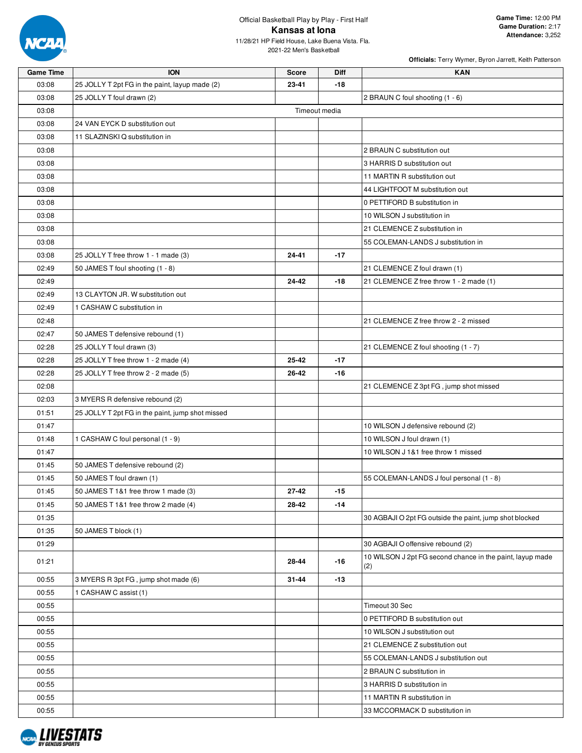

2021-22 Men's Basketball

| <b>Game Time</b> | <b>ION</b>                                       | <b>Score</b>  | Diff  | <b>KAN</b>                                                       |
|------------------|--------------------------------------------------|---------------|-------|------------------------------------------------------------------|
| 03:08            | 25 JOLLY T 2pt FG in the paint, layup made (2)   | 23-41         | -18   |                                                                  |
| 03:08            | 25 JOLLY T foul drawn (2)                        |               |       | 2 BRAUN C foul shooting (1 - 6)                                  |
| 03:08            |                                                  | Timeout media |       |                                                                  |
| 03:08            | 24 VAN EYCK D substitution out                   |               |       |                                                                  |
| 03:08            | 11 SLAZINSKI Q substitution in                   |               |       |                                                                  |
| 03:08            |                                                  |               |       | 2 BRAUN C substitution out                                       |
| 03:08            |                                                  |               |       | 3 HARRIS D substitution out                                      |
| 03:08            |                                                  |               |       | 11 MARTIN R substitution out                                     |
| 03:08            |                                                  |               |       | 44 LIGHTFOOT M substitution out                                  |
| 03:08            |                                                  |               |       | 0 PETTIFORD B substitution in                                    |
| 03:08            |                                                  |               |       | 10 WILSON J substitution in                                      |
| 03:08            |                                                  |               |       | 21 CLEMENCE Z substitution in                                    |
| 03:08            |                                                  |               |       | 55 COLEMAN-LANDS J substitution in                               |
| 03:08            | 25 JOLLY T free throw 1 - 1 made (3)             | 24-41         | $-17$ |                                                                  |
| 02:49            | 50 JAMES T foul shooting (1 - 8)                 |               |       | 21 CLEMENCE Z foul drawn (1)                                     |
| 02:49            |                                                  | 24-42         | $-18$ | 21 CLEMENCE Z free throw 1 - 2 made (1)                          |
| 02:49            | 13 CLAYTON JR. W substitution out                |               |       |                                                                  |
| 02:49            | 1 CASHAW C substitution in                       |               |       |                                                                  |
| 02:48            |                                                  |               |       | 21 CLEMENCE Z free throw 2 - 2 missed                            |
| 02:47            | 50 JAMES T defensive rebound (1)                 |               |       |                                                                  |
| 02:28            | 25 JOLLY T foul drawn (3)                        |               |       | 21 CLEMENCE Z foul shooting (1 - 7)                              |
| 02:28            | 25 JOLLY T free throw 1 - 2 made (4)             | 25-42         | $-17$ |                                                                  |
| 02:28            | 25 JOLLY T free throw 2 - 2 made (5)             | 26-42         | $-16$ |                                                                  |
| 02:08            |                                                  |               |       | 21 CLEMENCE Z 3pt FG, jump shot missed                           |
| 02:03            | 3 MYERS R defensive rebound (2)                  |               |       |                                                                  |
| 01:51            | 25 JOLLY T 2pt FG in the paint, jump shot missed |               |       |                                                                  |
| 01:47            |                                                  |               |       | 10 WILSON J defensive rebound (2)                                |
| 01:48            | 1 CASHAW C foul personal (1 - 9)                 |               |       | 10 WILSON J foul drawn (1)                                       |
| 01:47            |                                                  |               |       | 10 WILSON J 1&1 free throw 1 missed                              |
| 01:45            | 50 JAMES T defensive rebound (2)                 |               |       |                                                                  |
| 01:45            | 50 JAMES T foul drawn (1)                        |               |       | 55 COLEMAN-LANDS J foul personal (1 - 8)                         |
| 01:45            | 50 JAMES T 1&1 free throw 1 made (3)             | 27-42         | $-15$ |                                                                  |
| 01:45            | 50 JAMES T 1&1 free throw 2 made (4)             | 28-42         | $-14$ |                                                                  |
| 01:35            |                                                  |               |       | 30 AGBAJI O 2pt FG outside the paint, jump shot blocked          |
| 01:35            | 50 JAMES T block (1)                             |               |       |                                                                  |
| 01:29            |                                                  |               |       | 30 AGBAJI O offensive rebound (2)                                |
| 01:21            |                                                  | 28-44         | -16   | 10 WILSON J 2pt FG second chance in the paint, layup made<br>(2) |
| 00:55            | 3 MYERS R 3pt FG, jump shot made (6)             | 31-44         | $-13$ |                                                                  |
| 00:55            | 1 CASHAW C assist (1)                            |               |       |                                                                  |
| 00:55            |                                                  |               |       | Timeout 30 Sec                                                   |
| 00:55            |                                                  |               |       | 0 PETTIFORD B substitution out                                   |
| 00:55            |                                                  |               |       | 10 WILSON J substitution out                                     |
| 00:55            |                                                  |               |       | 21 CLEMENCE Z substitution out                                   |
| 00:55            |                                                  |               |       | 55 COLEMAN-LANDS J substitution out                              |
| 00:55            |                                                  |               |       | 2 BRAUN C substitution in                                        |
| 00:55            |                                                  |               |       | 3 HARRIS D substitution in                                       |
| 00:55            |                                                  |               |       | 11 MARTIN R substitution in                                      |
| 00:55            |                                                  |               |       | 33 MCCORMACK D substitution in                                   |
|                  |                                                  |               |       |                                                                  |

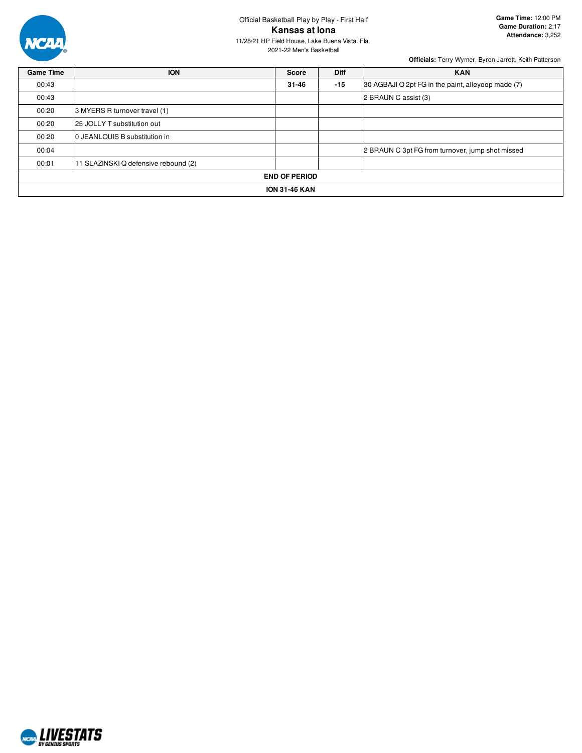

2021-22 Men's Basketball

| <b>Game Time</b>     | <b>ION</b>                           | <b>Score</b> | <b>Diff</b> | <b>KAN</b>                                         |  |  |  |  |
|----------------------|--------------------------------------|--------------|-------------|----------------------------------------------------|--|--|--|--|
| 00:43                |                                      | $31 - 46$    | $-15$       | 30 AGBAJI O 2pt FG in the paint, alleyoop made (7) |  |  |  |  |
| 00:43                |                                      |              |             | 2 BRAUN C assist (3)                               |  |  |  |  |
| 00:20                | 3 MYERS R turnover travel (1)        |              |             |                                                    |  |  |  |  |
| 00:20                | 25 JOLLY T substitution out          |              |             |                                                    |  |  |  |  |
| 00:20                | 0 JEANLOUIS B substitution in        |              |             |                                                    |  |  |  |  |
| 00:04                |                                      |              |             | 2 BRAUN C 3pt FG from turnover, jump shot missed   |  |  |  |  |
| 00:01                | 11 SLAZINSKI Q defensive rebound (2) |              |             |                                                    |  |  |  |  |
| <b>END OF PERIOD</b> |                                      |              |             |                                                    |  |  |  |  |
| <b>ION 31-46 KAN</b> |                                      |              |             |                                                    |  |  |  |  |

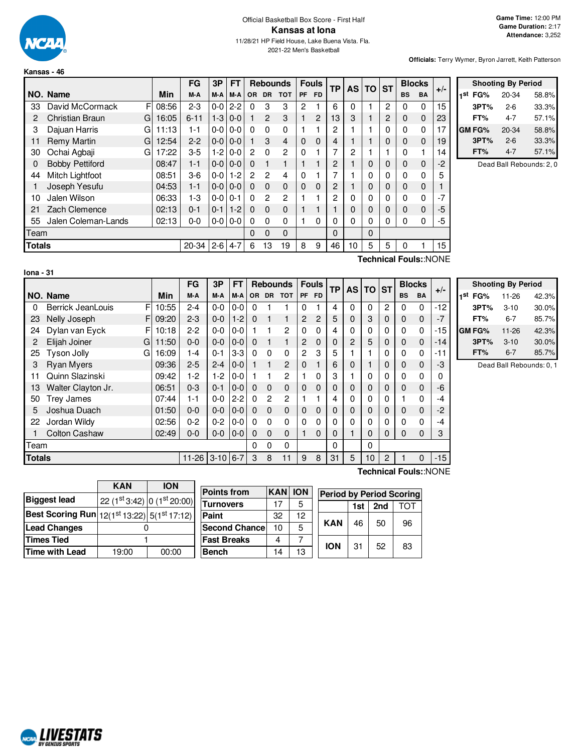

#### Official Basketball Box Score - First Half **Kansas at Iona** 11/28/21 HP Field House, Lake Buena Vista. Fla. 2021-22 Men's Basketball

**Officials:** Terry Wymer, Byron Jarrett, Keith Patterson

|               |                        |   |       | <b>FG</b> | 3P      | <b>FT</b> |           |                | <b>Rebounds</b> |             | <b>Fouls</b> | <b>TP</b> | <b>AS</b> | <b>TO</b> | <b>ST</b> |           | <b>Blocks</b> | $+/-$ |
|---------------|------------------------|---|-------|-----------|---------|-----------|-----------|----------------|-----------------|-------------|--------------|-----------|-----------|-----------|-----------|-----------|---------------|-------|
|               | NO. Name               |   | Min   | M-A       | M-A     | M-A       | <b>OR</b> | <b>DR</b>      | <b>TOT</b>      | <b>PF</b>   | <b>FD</b>    |           |           |           |           | <b>BS</b> | <b>BA</b>     |       |
| 33            | David McCormack        | F | 08:56 | $2 - 3$   | $0-0$   | $2 - 2$   | 0         | 3              | 3               | 2           |              | 6         | 0         |           | 2         | 0         | 0             | 15    |
| 2             | <b>Christian Braun</b> | G | 16:05 | $6 - 11$  | $1-3$   | $0 - 0$   |           | $\overline{2}$ | 3               |             | 2            | 13        | 3         |           | 2         | 0         | 0             | 23    |
| 3             | Dajuan Harris          | G | 11:13 | 1-1       | $0-0$   | $0 - 0$   | $\Omega$  | 0              | 0               | 1           |              | 2         |           |           | 0         | 0         | 0             | 17    |
| 11            | Remy Martin            | G | 12:54 | $2 - 2$   | $0-0$   | $0 - 0$   |           | 3              | 4               | $\mathbf 0$ | $\Omega$     | 4         |           |           | 0         | 0         | 0             | 19    |
| 30            | Ochai Agbaji           | G | 17:22 | $3 - 5$   | $1-2$   | $0 - 0$   | 2         | $\Omega$       | 2               | $\Omega$    |              | 7         | 2         |           |           | 0         |               | 14    |
| 0             | <b>Bobby Pettiford</b> |   | 08:47 | $1 - 1$   | $0-0$   | $0 - 0$   | $\Omega$  |                |                 |             |              | 2         |           | 0         | 0         | 0         | 0             | $-2$  |
| 44            | Mitch Lightfoot        |   | 08:51 | $3-6$     | $0-0$   | $1 - 2$   | 2         | $\overline{2}$ | 4               | $\Omega$    |              |           |           | 0         | 0         | 0         | 0             | 5     |
|               | Joseph Yesufu          |   | 04:53 | $1 - 1$   | $0-0$   | $0 - 0$   | $\Omega$  | 0              | $\Omega$        | $\Omega$    | 0            | 2         |           | 0         | 0         | 0         | 0             |       |
| 10            | Jalen Wilson           |   | 06:33 | $1-3$     | $0-0$   | $0 - 1$   | $\Omega$  | 2              | 2               |             |              | 2         | 0         | 0         | 0         | 0         | 0             | $-7$  |
| 21            | Zach Clemence          |   | 02:13 | $0 - 1$   | $0 - 1$ | $1 - 2$   | $\Omega$  | $\Omega$       | $\Omega$        |             |              |           | 0         | 0         | 0         | 0         | 0             | -5    |
| 55            | Jalen Coleman-Lands    |   | 02:13 | $0 - 0$   | $0-0$   | $0 - 0$   | 0         | 0              | 0               |             | 0            | $\Omega$  | 0         | 0         | 0         | 0         | 0             | -5    |
| Team          |                        |   |       |           |         |           | 0         | 0              | 0               |             |              | 0         |           | 0         |           |           |               |       |
| <b>Totals</b> |                        |   |       | 20-34     | $2 - 6$ | $4 - 7$   | 6         | 13             | 19              | 8           | 9            | 46        | 10        | 5         | 5         | 0         |               | 15    |

| <b>Shooting By Period</b> |           |       |  |  |  |  |
|---------------------------|-----------|-------|--|--|--|--|
| 1st FG%                   | $20 - 34$ | 58.8% |  |  |  |  |
| 3PT%                      | $2-6$     | 33.3% |  |  |  |  |
| FT%                       | 4-7       | 57.1% |  |  |  |  |
| GM FG%                    | 20-34     | 58.8% |  |  |  |  |
| 3PT%                      | $2-6$     | 33.3% |  |  |  |  |
| FT%                       | $4 - 7$   | 57.1% |  |  |  |  |

Dead Ball Rebounds: 2, 0

| lona |  |  |
|------|--|--|
|      |  |  |

**Technical Fouls:**:NONE

|               |                        |            | FG        | 3P       | FТ      |          |                | <b>Rebounds</b> |                | <b>Fouls</b>   | ТP       | AS I           | <b>TO ST</b> |   |           | <b>Blocks</b> | $+/-$ |                   |
|---------------|------------------------|------------|-----------|----------|---------|----------|----------------|-----------------|----------------|----------------|----------|----------------|--------------|---|-----------|---------------|-------|-------------------|
|               | NO. Name               | <b>Min</b> | M-A       | M-A      | M-A     |          |                | OR DR TOT       |                | PF FD          |          |                |              |   | <b>BS</b> | <b>BA</b>     |       | 1 <sup>st</sup> I |
| 0             | F<br>Berrick JeanLouis | 10:55      | $2 - 4$   | $0-0$    | $0-0$   | $\Omega$ |                |                 | 0              |                | 4        | 0              | 0            | 2 | 0         | $\mathbf 0$   | $-12$ |                   |
| 23            | Nelly Joseph           | FI 09:20   | $2 - 3$   | $0-0$    | $1-2$   | $\Omega$ |                |                 | 2              | $\overline{c}$ | 5        | 0              | 3            | 0 | 0         | $\mathbf 0$   | -7    |                   |
| 24            | Dylan van Eyck<br>F    | 10:18      | $2 - 2$   | $0-0$    | $0-0$   |          |                | 2               | 0              | $\Omega$       | 4        | 0              | 0            | 0 | 0         | $\mathbf 0$   | -15   | <b>GM F</b>       |
| 2             | Elijah Joiner<br>G     | 11:50      | $0-0$     | $0-0$    | $0-0$   | $\Omega$ |                |                 | 2              | $\Omega$       | 0        | $\overline{2}$ | 5            | 0 | $\Omega$  | $\mathbf{0}$  | $-14$ |                   |
| 25            | Tyson Jolly<br>G       | 16:09      | $1 - 4$   | $0 - 1$  | $3-3$   | $\Omega$ | $\Omega$       | $\Omega$        | $\overline{2}$ | 3              | 5        |                |              | 0 | 0         | 0             | -11   |                   |
| 3             | <b>Ryan Myers</b>      | 09:36      | $2 - 5$   | $2 - 4$  | $0-0$   |          |                | $\overline{c}$  | $\Omega$       |                | 6        | $\Omega$       |              | 0 | 0         | $\mathbf{0}$  | -3    |                   |
| 11            | Quinn Slazinski        | 09:42      | $1-2$     | 1-2      | $0-0$   |          | 1              | 2               |                | $\Omega$       | 3        |                | 0            | 0 | 0         | $\Omega$      | 0     |                   |
| 13            | Walter Clayton Jr.     | 06:51      | $0 - 3$   | $0 - 1$  | $0-0$   | $\Omega$ | $\Omega$       | $\Omega$        | $\Omega$       | $\Omega$       | 0        | 0              | 0            | 0 | 0         | $\mathbf 0$   | -6    |                   |
| 50            | <b>Trey James</b>      | 07:44      | $1 - 1$   | $0 - 0$  | $2 - 2$ | $\Omega$ | $\overline{2}$ | 2               |                |                | 4        | 0              | 0            | 0 |           | 0             | -4    |                   |
| 5             | Joshua Duach           | 01:50      | $0 - 0$   | $0-0$    | $0-0$   | $\Omega$ | $\Omega$       | $\mathbf 0$     | $\mathbf{0}$   | $\Omega$       | 0        | 0              | 0            | 0 | 0         | $\mathbf{0}$  | -2    |                   |
| 22            | Jordan Wildy           | 02:56      | $0 - 2$   | $0 - 2$  | $0-0$   | $\Omega$ | $\Omega$       | $\Omega$        | $\Omega$       | $\Omega$       | 0        | 0              | 0            | 0 | 0         | 0             | -4    |                   |
|               | <b>Colton Cashaw</b>   | 02:49      | $0-0$     | $0-0$    | $0-0$   | $\Omega$ | $\Omega$       | 0               |                | $\Omega$       | 0        |                | 0            | 0 | 0         | 0             | 3     |                   |
| Team          |                        |            |           |          |         | 0        | $\Omega$       | 0               |                |                | $\Omega$ |                | 0            |   |           |               |       |                   |
| <b>Totals</b> |                        |            | $11 - 26$ | $3 - 10$ | $6 - 7$ | 3        | 8              | 11              | 9              | 8              | 31       | 5              | 10           | 2 |           | $\Omega$      | $-15$ |                   |

|     | <b>Shooting By Period</b> |           |       |  |  |  |  |  |  |
|-----|---------------------------|-----------|-------|--|--|--|--|--|--|
| 1st | FG%                       | 11-26     | 42.3% |  |  |  |  |  |  |
|     | 3PT%                      | $3 - 10$  | 30.0% |  |  |  |  |  |  |
|     | FT%                       | 6-7       | 85.7% |  |  |  |  |  |  |
|     | GM FG%                    | $11 - 26$ | 42.3% |  |  |  |  |  |  |
|     | 3PT%                      | $3 - 10$  | 30.0% |  |  |  |  |  |  |
|     | FT%                       | $6 - 7$   | 85.7% |  |  |  |  |  |  |

Dead Ball Rebounds: 0, 1

**Technical Fouls:**:NONE

|                                                            | <b>KAN</b> | <b>ION</b> |                                       |                |    |                                 |     |     |     |  |
|------------------------------------------------------------|------------|------------|---------------------------------------|----------------|----|---------------------------------|-----|-----|-----|--|
| <b>Biggest lead</b>                                        |            |            | <b>Points from</b>                    | <b>KAN ION</b> |    | <b>Period by Period Scoring</b> |     |     |     |  |
|                                                            |            |            | 22 (1st 3:42) 0 (1st 20:00) Turnovers | 17             | 5  |                                 | 1st | 2nd | TOT |  |
| <b>Best Scoring Run</b> $ 12(1^{st}13:22) 5(1^{st}17:12) $ |            |            | Paint                                 | 32             | 12 |                                 |     |     |     |  |
| Lead Changes                                               |            |            | <b>Second Chance</b>                  | 10             | 5  | <b>KAN</b>                      | 46  | 50  | 96  |  |
| <b>Times Tied</b>                                          |            |            | <b>Fast Breaks</b>                    | 4              |    |                                 |     |     |     |  |
| <b>Time with Lead</b>                                      | 19:00      | 00:00      | <b>Bench</b>                          | 14             | 13 |                                 |     |     |     |  |
|                                                            |            |            |                                       |                |    | <b>ION</b>                      | 31  | 52  | 83  |  |

**NCAL LIVESTATS**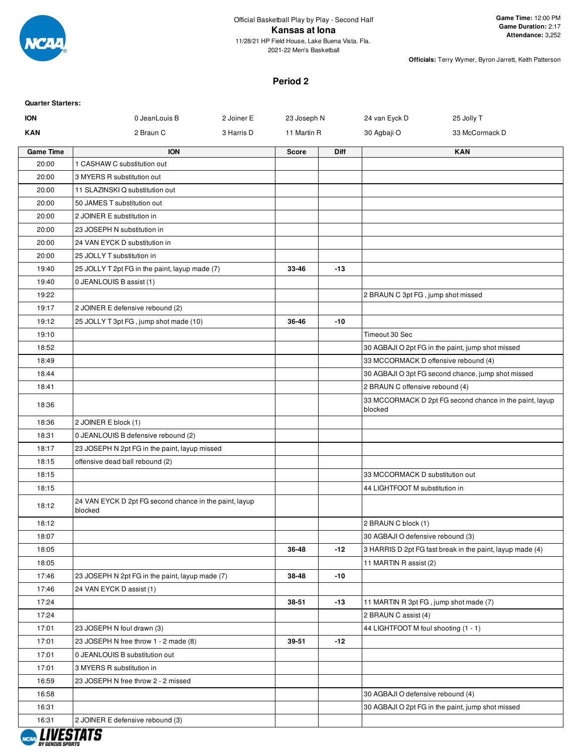

# **Period 2**

| <b>Quarter Starters:</b> |                                                                   |            |              |             |                                        |                                                           |
|--------------------------|-------------------------------------------------------------------|------------|--------------|-------------|----------------------------------------|-----------------------------------------------------------|
| <b>ION</b>               | 0 JeanLouis B                                                     | 2 Joiner E | 23 Joseph N  |             | 24 van Eyck D                          | 25 Jolly T                                                |
| <b>KAN</b>               | 2 Braun C                                                         | 3 Harris D | 11 Martin R  |             | 30 Agbaji O                            | 33 McCormack D                                            |
| <b>Game Time</b>         | <b>ION</b>                                                        |            | <b>Score</b> | <b>Diff</b> |                                        | <b>KAN</b>                                                |
| 20:00                    | 1 CASHAW C substitution out                                       |            |              |             |                                        |                                                           |
| 20:00                    | 3 MYERS R substitution out                                        |            |              |             |                                        |                                                           |
| 20:00                    | 11 SLAZINSKI Q substitution out                                   |            |              |             |                                        |                                                           |
| 20:00                    | 50 JAMES T substitution out                                       |            |              |             |                                        |                                                           |
| 20:00                    | 2 JOINER E substitution in                                        |            |              |             |                                        |                                                           |
| 20:00                    | 23 JOSEPH N substitution in                                       |            |              |             |                                        |                                                           |
| 20:00                    | 24 VAN EYCK D substitution in                                     |            |              |             |                                        |                                                           |
| 20:00                    | 25 JOLLY T substitution in                                        |            |              |             |                                        |                                                           |
| 19:40                    | 25 JOLLY T 2pt FG in the paint, layup made (7)                    |            | 33-46        | $-13$       |                                        |                                                           |
| 19:40                    | 0 JEANLOUIS B assist (1)                                          |            |              |             |                                        |                                                           |
| 19:22                    |                                                                   |            |              |             | 2 BRAUN C 3pt FG, jump shot missed     |                                                           |
| 19:17                    | 2 JOINER E defensive rebound (2)                                  |            |              |             |                                        |                                                           |
| 19:12                    | 25 JOLLY T 3pt FG, jump shot made (10)                            |            | 36-46        | $-10$       |                                        |                                                           |
| 19:10                    |                                                                   |            |              |             | Timeout 30 Sec                         |                                                           |
| 18:52                    |                                                                   |            |              |             |                                        | 30 AGBAJI O 2pt FG in the paint, jump shot missed         |
| 18:49                    |                                                                   |            |              |             | 33 MCCORMACK D offensive rebound (4)   |                                                           |
| 18:44                    |                                                                   |            |              |             |                                        | 30 AGBAJI O 3pt FG second chance, jump shot missed        |
| 18:41                    |                                                                   |            |              |             | 2 BRAUN C offensive rebound (4)        |                                                           |
| 18:36                    |                                                                   |            |              |             | blocked                                | 33 MCCORMACK D 2pt FG second chance in the paint, layup   |
| 18:36                    | 2 JOINER E block (1)                                              |            |              |             |                                        |                                                           |
| 18:31                    | 0 JEANLOUIS B defensive rebound (2)                               |            |              |             |                                        |                                                           |
| 18:17                    | 23 JOSEPH N 2pt FG in the paint, layup missed                     |            |              |             |                                        |                                                           |
| 18:15                    | offensive dead ball rebound (2)                                   |            |              |             |                                        |                                                           |
| 18:15                    |                                                                   |            |              |             | 33 MCCORMACK D substitution out        |                                                           |
| 18:15                    |                                                                   |            |              |             | 44 LIGHTFOOT M substitution in         |                                                           |
| 18:12                    | 24 VAN EYCK D 2pt FG second chance in the paint, layup<br>blocked |            |              |             |                                        |                                                           |
| 18:12                    |                                                                   |            |              |             | 2 BRAUN C block (1)                    |                                                           |
| 18:07                    |                                                                   |            |              |             | 30 AGBAJI O defensive rebound (3)      |                                                           |
| 18:05                    |                                                                   |            | 36-48        | $-12$       |                                        | 3 HARRIS D 2pt FG fast break in the paint, layup made (4) |
| 18:05                    |                                                                   |            |              |             | 11 MARTIN R assist (2)                 |                                                           |
| 17:46                    | 23 JOSEPH N 2pt FG in the paint, layup made (7)                   |            | 38-48        | -10         |                                        |                                                           |
| 17:46                    | 24 VAN EYCK D assist (1)                                          |            |              |             |                                        |                                                           |
| 17:24                    |                                                                   |            | 38-51        | $-13$       | 11 MARTIN R 3pt FG, jump shot made (7) |                                                           |
| 17:24                    |                                                                   |            |              |             | 2 BRAUN C assist (4)                   |                                                           |
| 17:01                    | 23 JOSEPH N foul drawn (3)                                        |            |              |             | 44 LIGHTFOOT M foul shooting (1 - 1)   |                                                           |
| 17:01                    | 23 JOSEPH N free throw 1 - 2 made (8)                             |            | 39-51        | $-12$       |                                        |                                                           |
| 17:01                    | 0 JEANLOUIS B substitution out                                    |            |              |             |                                        |                                                           |
| 17:01                    | 3 MYERS R substitution in                                         |            |              |             |                                        |                                                           |
| 16:59                    | 23 JOSEPH N free throw 2 - 2 missed                               |            |              |             |                                        |                                                           |
| 16:58                    |                                                                   |            |              |             | 30 AGBAJI O defensive rebound (4)      |                                                           |
| 16:31                    |                                                                   |            |              |             |                                        | 30 AGBAJI O 2pt FG in the paint, jump shot missed         |
| 16:31                    | 2 JOINER E defensive rebound (3)                                  |            |              |             |                                        |                                                           |

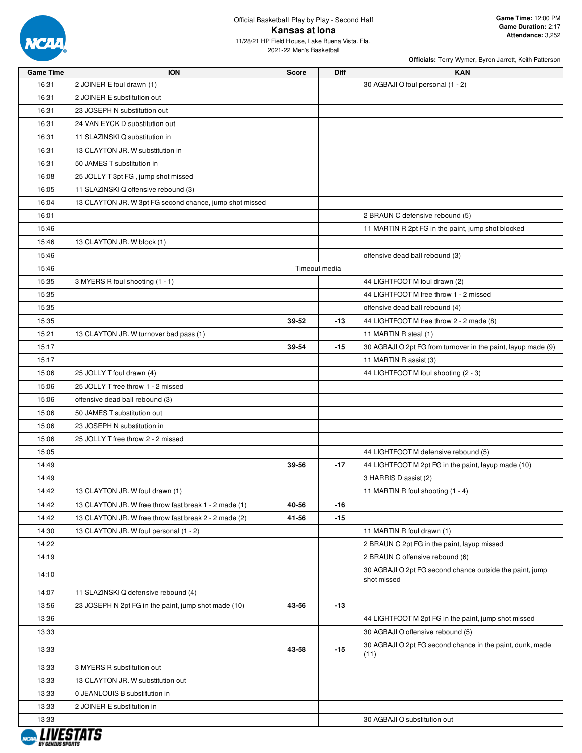

| <b>Game Time</b> | <b>ION</b>                                              | <b>Score</b> | <b>Diff</b>   | <b>KAN</b>                                                              |
|------------------|---------------------------------------------------------|--------------|---------------|-------------------------------------------------------------------------|
| 16:31            | 2 JOINER E foul drawn (1)                               |              |               | 30 AGBAJI O foul personal (1 - 2)                                       |
| 16:31            | 2 JOINER E substitution out                             |              |               |                                                                         |
| 16:31            | 23 JOSEPH N substitution out                            |              |               |                                                                         |
| 16:31            | 24 VAN EYCK D substitution out                          |              |               |                                                                         |
| 16:31            | 11 SLAZINSKI Q substitution in                          |              |               |                                                                         |
| 16:31            | 13 CLAYTON JR. W substitution in                        |              |               |                                                                         |
| 16:31            | 50 JAMES T substitution in                              |              |               |                                                                         |
| 16:08            | 25 JOLLY T 3pt FG, jump shot missed                     |              |               |                                                                         |
| 16:05            | 11 SLAZINSKI Q offensive rebound (3)                    |              |               |                                                                         |
| 16:04            | 13 CLAYTON JR. W 3pt FG second chance, jump shot missed |              |               |                                                                         |
| 16:01            |                                                         |              |               | 2 BRAUN C defensive rebound (5)                                         |
| 15:46            |                                                         |              |               | 11 MARTIN R 2pt FG in the paint, jump shot blocked                      |
| 15:46            | 13 CLAYTON JR. W block (1)                              |              |               |                                                                         |
| 15:46            |                                                         |              |               | offensive dead ball rebound (3)                                         |
| 15:46            |                                                         |              | Timeout media |                                                                         |
| 15:35            | 3 MYERS R foul shooting (1 - 1)                         |              |               | 44 LIGHTFOOT M foul drawn (2)                                           |
| 15:35            |                                                         |              |               | 44 LIGHTFOOT M free throw 1 - 2 missed                                  |
| 15:35            |                                                         |              |               | offensive dead ball rebound (4)                                         |
| 15:35            |                                                         | 39-52        | $-13$         | 44 LIGHTFOOT M free throw 2 - 2 made (8)                                |
| 15:21            | 13 CLAYTON JR. W turnover bad pass (1)                  |              |               | 11 MARTIN R steal (1)                                                   |
| 15:17            |                                                         | 39-54        | $-15$         | 30 AGBAJI O 2pt FG from turnover in the paint, layup made (9)           |
| 15:17            |                                                         |              |               | 11 MARTIN R assist (3)                                                  |
| 15:06            | 25 JOLLY T foul drawn (4)                               |              |               | 44 LIGHTFOOT M foul shooting (2 - 3)                                    |
| 15:06            | 25 JOLLY T free throw 1 - 2 missed                      |              |               |                                                                         |
| 15:06            | offensive dead ball rebound (3)                         |              |               |                                                                         |
| 15:06            | 50 JAMES T substitution out                             |              |               |                                                                         |
| 15:06            | 23 JOSEPH N substitution in                             |              |               |                                                                         |
| 15:06            | 25 JOLLY T free throw 2 - 2 missed                      |              |               |                                                                         |
| 15:05            |                                                         |              |               | 44 LIGHTFOOT M defensive rebound (5)                                    |
| 14:49            |                                                         | 39-56        | $-17$         | 44 LIGHTFOOT M 2pt FG in the paint, layup made (10)                     |
| 14:49            |                                                         |              |               | 3 HARRIS D assist (2)                                                   |
| 14:42            | 13 CLAYTON JR. W foul drawn (1)                         |              |               | 11 MARTIN R foul shooting (1 - 4)                                       |
| 14:42            | 13 CLAYTON JR. W free throw fast break 1 - 2 made (1)   | 40-56        | -16           |                                                                         |
| 14:42            | 13 CLAYTON JR. W free throw fast break 2 - 2 made (2)   | 41-56        | -15           |                                                                         |
| 14:30            | 13 CLAYTON JR. W foul personal (1 - 2)                  |              |               | 11 MARTIN R foul drawn (1)                                              |
| 14:22            |                                                         |              |               | 2 BRAUN C 2pt FG in the paint, layup missed                             |
| 14:19            |                                                         |              |               | 2 BRAUN C offensive rebound (6)                                         |
| 14:10            |                                                         |              |               | 30 AGBAJI O 2pt FG second chance outside the paint, jump<br>shot missed |
| 14:07            | 11 SLAZINSKI Q defensive rebound (4)                    |              |               |                                                                         |
| 13:56            | 23 JOSEPH N 2pt FG in the paint, jump shot made (10)    | 43-56        | -13           |                                                                         |
| 13:36            |                                                         |              |               | 44 LIGHTFOOT M 2pt FG in the paint, jump shot missed                    |
| 13:33            |                                                         |              |               | 30 AGBAJI O offensive rebound (5)                                       |
|                  |                                                         |              |               | 30 AGBAJI O 2pt FG second chance in the paint, dunk, made               |
| 13:33            |                                                         | 43-58        | $-15$         | (11)                                                                    |
| 13:33            | 3 MYERS R substitution out                              |              |               |                                                                         |
| 13:33            | 13 CLAYTON JR. W substitution out                       |              |               |                                                                         |
| 13:33            | 0 JEANLOUIS B substitution in                           |              |               |                                                                         |
| 13:33            | 2 JOINER E substitution in                              |              |               |                                                                         |
| 13:33            |                                                         |              |               | 30 AGBAJI O substitution out                                            |
|                  |                                                         |              |               |                                                                         |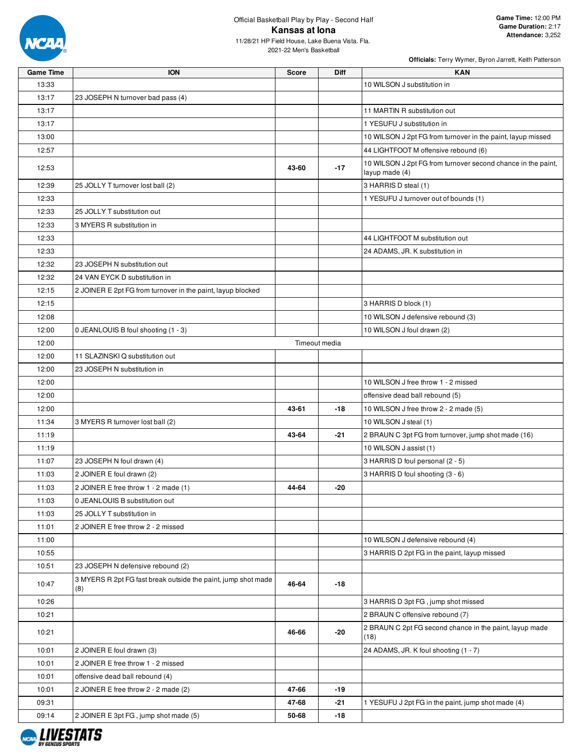

2021-22 Men's Basketball

| Game Time | <b>ION</b>                                                           | Score | Diff          | KAN                                                                            |
|-----------|----------------------------------------------------------------------|-------|---------------|--------------------------------------------------------------------------------|
| 13:33     |                                                                      |       |               | 10 WILSON J substitution in                                                    |
| 13:17     | 23 JOSEPH N turnover bad pass (4)                                    |       |               |                                                                                |
| 13:17     |                                                                      |       |               | 11 MARTIN R substitution out                                                   |
| 13:17     |                                                                      |       |               | 1 YESUFU J substitution in                                                     |
| 13:00     |                                                                      |       |               | 10 WILSON J 2pt FG from turnover in the paint, layup missed                    |
| 12:57     |                                                                      |       |               | 44 LIGHTFOOT M offensive rebound (6)                                           |
| 12:53     |                                                                      | 43-60 | $-17$         | 10 WILSON J 2pt FG from turnover second chance in the paint,<br>layup made (4) |
| 12:39     | 25 JOLLY T turnover lost ball (2)                                    |       |               | 3 HARRIS D steal (1)                                                           |
| 12:33     |                                                                      |       |               | 1 YESUFU J turnover out of bounds (1)                                          |
| 12:33     | 25 JOLLY T substitution out                                          |       |               |                                                                                |
| 12:33     | 3 MYERS R substitution in                                            |       |               |                                                                                |
| 12:33     |                                                                      |       |               | 44 LIGHTFOOT M substitution out                                                |
| 12:33     |                                                                      |       |               | 24 ADAMS, JR. K substitution in                                                |
| 12:32     | 23 JOSEPH N substitution out                                         |       |               |                                                                                |
| 12:32     | 24 VAN EYCK D substitution in                                        |       |               |                                                                                |
| 12:15     | 2 JOINER E 2pt FG from turnover in the paint, layup blocked          |       |               |                                                                                |
| 12:15     |                                                                      |       |               | 3 HARRIS D block (1)                                                           |
| 12:08     |                                                                      |       |               | 10 WILSON J defensive rebound (3)                                              |
| 12:00     | 0 JEANLOUIS B foul shooting (1 - 3)                                  |       |               | 10 WILSON J foul drawn (2)                                                     |
| 12:00     |                                                                      |       | Timeout media |                                                                                |
| 12:00     | 11 SLAZINSKI Q substitution out                                      |       |               |                                                                                |
| 12:00     | 23 JOSEPH N substitution in                                          |       |               |                                                                                |
| 12:00     |                                                                      |       |               | 10 WILSON J free throw 1 - 2 missed                                            |
| 12:00     |                                                                      |       |               | offensive dead ball rebound (5)                                                |
| 12:00     |                                                                      | 43-61 | -18           | 10 WILSON J free throw 2 - 2 made (5)                                          |
| 11:34     | 3 MYERS R turnover lost ball (2)                                     |       |               | 10 WILSON J steal (1)                                                          |
| 11:19     |                                                                      | 43-64 | $-21$         | 2 BRAUN C 3pt FG from turnover, jump shot made (16)                            |
| 11:19     |                                                                      |       |               | 10 WILSON J assist (1)                                                         |
| 11:07     | 23 JOSEPH N foul drawn (4)                                           |       |               | 3 HARRIS D foul personal (2 - 5)                                               |
| 11:03     | 2 JOINER E foul drawn (2)                                            |       |               | 3 HARRIS D foul shooting (3 - 6)                                               |
| 11:03     | 2 JOINER E free throw 1 - 2 made (1)                                 | 44-64 | -20           |                                                                                |
| 11:03     | 0 JEANLOUIS B substitution out                                       |       |               |                                                                                |
| 11:03     | 25 JOLLY T substitution in                                           |       |               |                                                                                |
| 11:01     | 2 JOINER E free throw 2 - 2 missed                                   |       |               |                                                                                |
| 11:00     |                                                                      |       |               | 10 WILSON J defensive rebound (4)                                              |
| 10:55     |                                                                      |       |               | 3 HARRIS D 2pt FG in the paint, layup missed                                   |
| 10:51     | 23 JOSEPH N defensive rebound (2)                                    |       |               |                                                                                |
| 10:47     | 3 MYERS R 2pt FG fast break outside the paint, jump shot made<br>(8) | 46-64 | -18           |                                                                                |
| 10:26     |                                                                      |       |               | 3 HARRIS D 3pt FG, jump shot missed                                            |
| 10:21     |                                                                      |       |               | 2 BRAUN C offensive rebound (7)                                                |
| 10:21     |                                                                      | 46-66 | -20           | 2 BRAUN C 2pt FG second chance in the paint, layup made<br>(18)                |
| 10:01     | 2 JOINER E foul drawn (3)                                            |       |               | 24 ADAMS, JR. K foul shooting (1 - 7)                                          |
| 10:01     | 2 JOINER E free throw 1 - 2 missed                                   |       |               |                                                                                |
| 10:01     | offensive dead ball rebound (4)                                      |       |               |                                                                                |
| 10:01     | 2 JOINER E free throw 2 - 2 made (2)                                 | 47-66 | -19           |                                                                                |
| 09:31     |                                                                      | 47-68 | -21           | 1 YESUFU J 2pt FG in the paint, jump shot made (4)                             |
| 09:14     | 2 JOINER E 3pt FG, jump shot made (5)                                | 50-68 | -18           |                                                                                |

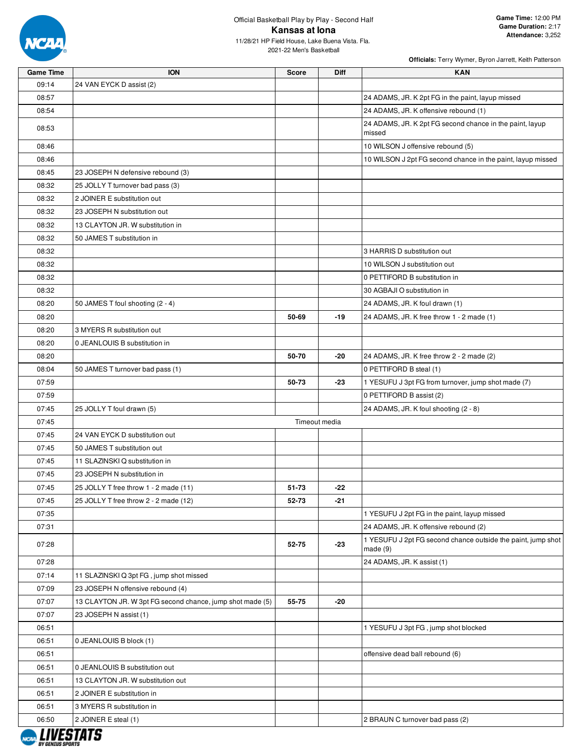

| <b>Game Time</b> | <b>ION</b>                                                | <b>Score</b>  | Diff  | <b>KAN</b>                                                              |
|------------------|-----------------------------------------------------------|---------------|-------|-------------------------------------------------------------------------|
| 09:14            | 24 VAN EYCK D assist (2)                                  |               |       |                                                                         |
| 08:57            |                                                           |               |       | 24 ADAMS, JR. K 2pt FG in the paint, layup missed                       |
| 08:54            |                                                           |               |       | 24 ADAMS, JR. K offensive rebound (1)                                   |
| 08:53            |                                                           |               |       | 24 ADAMS, JR. K 2pt FG second chance in the paint, layup<br>missed      |
| 08:46            |                                                           |               |       | 10 WILSON J offensive rebound (5)                                       |
| 08:46            |                                                           |               |       | 10 WILSON J 2pt FG second chance in the paint, layup missed             |
| 08:45            | 23 JOSEPH N defensive rebound (3)                         |               |       |                                                                         |
| 08:32            | 25 JOLLY T turnover bad pass (3)                          |               |       |                                                                         |
| 08:32            | 2 JOINER E substitution out                               |               |       |                                                                         |
| 08:32            | 23 JOSEPH N substitution out                              |               |       |                                                                         |
| 08:32            | 13 CLAYTON JR. W substitution in                          |               |       |                                                                         |
| 08:32            | 50 JAMES T substitution in                                |               |       |                                                                         |
| 08:32            |                                                           |               |       | 3 HARRIS D substitution out                                             |
| 08:32            |                                                           |               |       | 10 WILSON J substitution out                                            |
| 08:32            |                                                           |               |       | 0 PETTIFORD B substitution in                                           |
| 08:32            |                                                           |               |       | 30 AGBAJI O substitution in                                             |
| 08:20            | 50 JAMES T foul shooting (2 - 4)                          |               |       | 24 ADAMS, JR. K foul drawn (1)                                          |
| 08:20            |                                                           | 50-69         | $-19$ | 24 ADAMS, JR. K free throw 1 - 2 made (1)                               |
| 08:20            | 3 MYERS R substitution out                                |               |       |                                                                         |
| 08:20            | 0 JEANLOUIS B substitution in                             |               |       |                                                                         |
| 08:20            |                                                           | 50-70         | -20   | 24 ADAMS, JR. K free throw 2 - 2 made (2)                               |
| 08:04            | 50 JAMES T turnover bad pass (1)                          |               |       | 0 PETTIFORD B steal (1)                                                 |
| 07:59            |                                                           | 50-73         | -23   | 1 YESUFU J 3pt FG from turnover, jump shot made (7)                     |
| 07:59            |                                                           |               |       | 0 PETTIFORD B assist (2)                                                |
| 07:45            | 25 JOLLY T foul drawn (5)                                 |               |       | 24 ADAMS, JR. K foul shooting (2 - 8)                                   |
| 07:45            |                                                           | Timeout media |       |                                                                         |
| 07:45            | 24 VAN EYCK D substitution out                            |               |       |                                                                         |
| 07:45            | 50 JAMES T substitution out                               |               |       |                                                                         |
| 07:45            | 11 SLAZINSKI Q substitution in                            |               |       |                                                                         |
| 07:45            | 23 JOSEPH N substitution in                               |               |       |                                                                         |
| 07:45            | 25 JOLLY T free throw 1 - 2 made (11)                     | 51-73         | -22   |                                                                         |
| 07:45            | 25 JOLLY T free throw 2 - 2 made (12)                     | 52-73         | $-21$ |                                                                         |
| 07:35            |                                                           |               |       | 1 YESUFU J 2pt FG in the paint, layup missed                            |
| 07:31            |                                                           |               |       | 24 ADAMS, JR. K offensive rebound (2)                                   |
| 07:28            |                                                           | 52-75         | $-23$ | 1 YESUFU J 2pt FG second chance outside the paint, jump shot<br>made(9) |
| 07:28            |                                                           |               |       | 24 ADAMS, JR. K assist (1)                                              |
| 07:14            | 11 SLAZINSKI Q 3pt FG, jump shot missed                   |               |       |                                                                         |
| 07:09            | 23 JOSEPH N offensive rebound (4)                         |               |       |                                                                         |
| 07:07            | 13 CLAYTON JR. W 3pt FG second chance, jump shot made (5) | 55-75         | -20   |                                                                         |
| 07:07            | 23 JOSEPH N assist (1)                                    |               |       |                                                                         |
| 06:51            |                                                           |               |       | 1 YESUFU J 3pt FG, jump shot blocked                                    |
| 06:51            | 0 JEANLOUIS B block (1)                                   |               |       |                                                                         |
| 06:51            |                                                           |               |       | offensive dead ball rebound (6)                                         |
| 06:51            | 0 JEANLOUIS B substitution out                            |               |       |                                                                         |
| 06:51            | 13 CLAYTON JR. W substitution out                         |               |       |                                                                         |
| 06:51            | 2 JOINER E substitution in                                |               |       |                                                                         |
| 06:51            | 3 MYERS R substitution in                                 |               |       |                                                                         |
| 06:50            | 2 JOINER E steal (1)                                      |               |       | 2 BRAUN C turnover bad pass (2)                                         |
| , ,,,,,,,,,,     |                                                           |               |       |                                                                         |

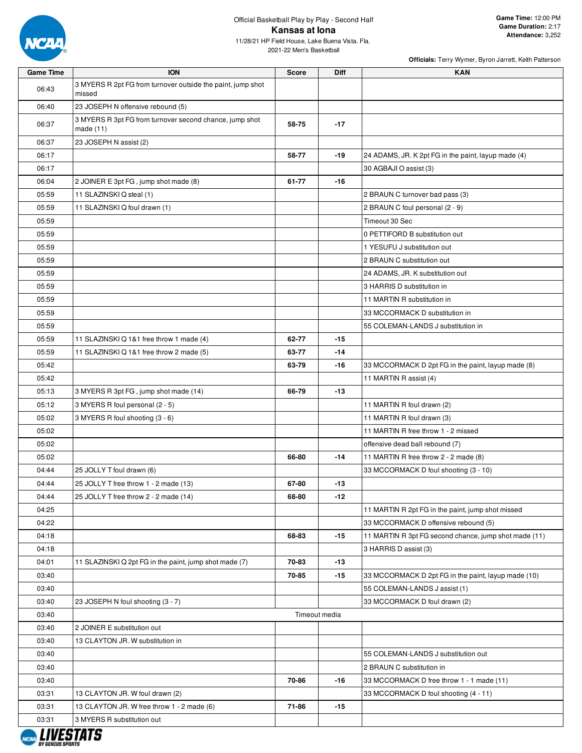

2021-22 Men's Basketball

| <b>Game Time</b> | <b>ION</b>                                                             | <b>Score</b>  | <b>Diff</b> | <b>KAN</b>                                            |
|------------------|------------------------------------------------------------------------|---------------|-------------|-------------------------------------------------------|
| 06:43            | 3 MYERS R 2pt FG from turnover outside the paint, jump shot<br>missed  |               |             |                                                       |
| 06:40            | 23 JOSEPH N offensive rebound (5)                                      |               |             |                                                       |
| 06:37            | 3 MYERS R 3pt FG from turnover second chance, jump shot<br>made $(11)$ | 58-75         | $-17$       |                                                       |
| 06:37            | 23 JOSEPH N assist (2)                                                 |               |             |                                                       |
| 06:17            |                                                                        | 58-77         | $-19$       | 24 ADAMS, JR. K 2pt FG in the paint, layup made (4)   |
| 06:17            |                                                                        |               |             | 30 AGBAJI O assist (3)                                |
| 06:04            | 2 JOINER E 3pt FG, jump shot made (8)                                  | 61-77         | $-16$       |                                                       |
| 05:59            | 11 SLAZINSKI Q steal (1)                                               |               |             | 2 BRAUN C turnover bad pass (3)                       |
| 05:59            | 11 SLAZINSKI Q foul drawn (1)                                          |               |             | 2 BRAUN C foul personal (2 - 9)                       |
| 05:59            |                                                                        |               |             | Timeout 30 Sec                                        |
| 05:59            |                                                                        |               |             | 0 PETTIFORD B substitution out                        |
| 05:59            |                                                                        |               |             | 1 YESUFU J substitution out                           |
| 05:59            |                                                                        |               |             | 2 BRAUN C substitution out                            |
| 05:59            |                                                                        |               |             | 24 ADAMS, JR. K substitution out                      |
| 05:59            |                                                                        |               |             | 3 HARRIS D substitution in                            |
| 05:59            |                                                                        |               |             | 11 MARTIN R substitution in                           |
| 05:59            |                                                                        |               |             | 33 MCCORMACK D substitution in                        |
| 05:59            |                                                                        |               |             | 55 COLEMAN-LANDS J substitution in                    |
| 05:59            | 11 SLAZINSKI Q 1&1 free throw 1 made (4)                               | 62-77         | $-15$       |                                                       |
| 05:59            | 11 SLAZINSKI Q 1&1 free throw 2 made (5)                               | 63-77         | $-14$       |                                                       |
| 05:42            |                                                                        | 63-79         | -16         | 33 MCCORMACK D 2pt FG in the paint, layup made (8)    |
| 05:42            |                                                                        |               |             | 11 MARTIN R assist (4)                                |
| 05:13            | 3 MYERS R 3pt FG, jump shot made (14)                                  | 66-79         | $-13$       |                                                       |
| 05:12            | 3 MYERS R foul personal (2 - 5)                                        |               |             | 11 MARTIN R foul drawn (2)                            |
| 05:02            | 3 MYERS R foul shooting (3 - 6)                                        |               |             | 11 MARTIN R foul drawn (3)                            |
| 05:02            |                                                                        |               |             | 11 MARTIN R free throw 1 - 2 missed                   |
| 05:02            |                                                                        |               |             | offensive dead ball rebound (7)                       |
| 05:02            |                                                                        | 66-80         | $-14$       | 11 MARTIN R free throw 2 - 2 made (8)                 |
| 04:44            | 25 JOLLY T foul drawn (6)                                              |               |             | 33 MCCORMACK D foul shooting (3 - 10)                 |
| 04:44            | 25 JOLLY T free throw 1 - 2 made (13)                                  | 67-80         | $-13$       |                                                       |
| 04:44            | 25 JOLLY T free throw 2 - 2 made (14)                                  | 68-80         | -12         |                                                       |
| 04:25            |                                                                        |               |             | 11 MARTIN R 2pt FG in the paint, jump shot missed     |
| 04:22            |                                                                        |               |             | 33 MCCORMACK D offensive rebound (5)                  |
| 04:18            |                                                                        | 68-83         | $-15$       | 11 MARTIN R 3pt FG second chance, jump shot made (11) |
| 04:18            |                                                                        |               |             | 3 HARRIS D assist (3)                                 |
| 04:01            | 11 SLAZINSKI Q 2pt FG in the paint, jump shot made (7)                 | 70-83         | $-13$       |                                                       |
| 03:40            |                                                                        | 70-85         | -15         | 33 MCCORMACK D 2pt FG in the paint, layup made (10)   |
| 03:40            |                                                                        |               |             | 55 COLEMAN-LANDS J assist (1)                         |
| 03:40            | 23 JOSEPH N foul shooting (3 - 7)                                      | Timeout media |             | 33 MCCORMACK D foul drawn (2)                         |
| 03:40<br>03:40   | 2 JOINER E substitution out                                            |               |             |                                                       |
| 03:40            | 13 CLAYTON JR. W substitution in                                       |               |             |                                                       |
| 03:40            |                                                                        |               |             | 55 COLEMAN-LANDS J substitution out                   |
| 03:40            |                                                                        |               |             | 2 BRAUN C substitution in                             |
| 03:40            |                                                                        | 70-86         | -16         | 33 MCCORMACK D free throw 1 - 1 made (11)             |
| 03:31            | 13 CLAYTON JR. W foul drawn (2)                                        |               |             | 33 MCCORMACK D foul shooting (4 - 11)                 |
| 03:31            | 13 CLAYTON JR. W free throw 1 - 2 made (6)                             | 71-86         | $-15$       |                                                       |
| 03:31            | 3 MYERS R substitution out                                             |               |             |                                                       |
|                  | <i>LUIPATRTA</i>                                                       |               |             |                                                       |

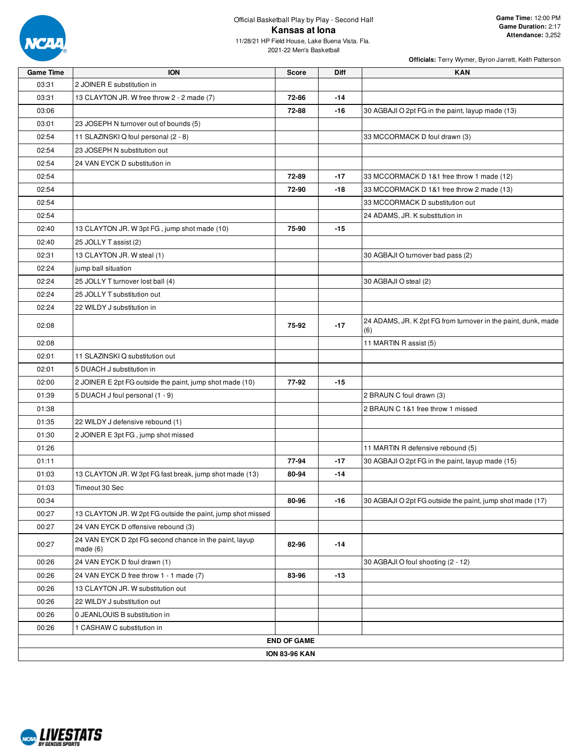

| <b>Game Time</b> | <b>ION</b>                                                        | <b>Score</b>         | <b>Diff</b> | <b>KAN</b>                                                           |
|------------------|-------------------------------------------------------------------|----------------------|-------------|----------------------------------------------------------------------|
| 03:31            | 2 JOINER E substitution in                                        |                      |             |                                                                      |
| 03:31            | 13 CLAYTON JR. W free throw 2 - 2 made (7)                        | 72-86                | $-14$       |                                                                      |
| 03:06            |                                                                   | 72-88                | $-16$       | 30 AGBAJI O 2pt FG in the paint, layup made (13)                     |
| 03:01            | 23 JOSEPH N turnover out of bounds (5)                            |                      |             |                                                                      |
| 02:54            | 11 SLAZINSKI Q foul personal (2 - 8)                              |                      |             | 33 MCCORMACK D foul drawn (3)                                        |
| 02:54            | 23 JOSEPH N substitution out                                      |                      |             |                                                                      |
| 02:54            | 24 VAN EYCK D substitution in                                     |                      |             |                                                                      |
| 02:54            |                                                                   | 72-89                | $-17$       | 33 MCCORMACK D 1&1 free throw 1 made (12)                            |
| 02:54            |                                                                   | 72-90                | -18         | 33 MCCORMACK D 1&1 free throw 2 made (13)                            |
| 02:54            |                                                                   |                      |             | 33 MCCORMACK D substitution out                                      |
| 02:54            |                                                                   |                      |             | 24 ADAMS, JR. K substitution in                                      |
| 02:40            | 13 CLAYTON JR. W 3pt FG, jump shot made (10)                      | 75-90                | -15         |                                                                      |
| 02:40            | 25 JOLLY T assist (2)                                             |                      |             |                                                                      |
| 02:31            | 13 CLAYTON JR. W steal (1)                                        |                      |             | 30 AGBAJI O turnover bad pass (2)                                    |
| 02:24            | jump ball situation                                               |                      |             |                                                                      |
| 02:24            | 25 JOLLY T turnover lost ball (4)                                 |                      |             | 30 AGBAJI O steal (2)                                                |
| 02:24            | 25 JOLLY T substitution out                                       |                      |             |                                                                      |
| 02:24            | 22 WILDY J substitution in                                        |                      |             |                                                                      |
| 02:08            |                                                                   | 75-92                | $-17$       | 24 ADAMS, JR. K 2pt FG from turnover in the paint, dunk, made<br>(6) |
| 02:08            |                                                                   |                      |             | 11 MARTIN R assist (5)                                               |
| 02:01            | 11 SLAZINSKI Q substitution out                                   |                      |             |                                                                      |
| 02:01            | 5 DUACH J substitution in                                         |                      |             |                                                                      |
| 02:00            | 2 JOINER E 2pt FG outside the paint, jump shot made (10)          | 77-92                | -15         |                                                                      |
| 01:39            | 5 DUACH J foul personal (1 - 9)                                   |                      |             | 2 BRAUN C foul drawn (3)                                             |
| 01:38            |                                                                   |                      |             | 2 BRAUN C 1&1 free throw 1 missed                                    |
| 01:35            | 22 WILDY J defensive rebound (1)                                  |                      |             |                                                                      |
| 01:30            | 2 JOINER E 3pt FG, jump shot missed                               |                      |             |                                                                      |
| 01:26            |                                                                   |                      |             | 11 MARTIN R defensive rebound (5)                                    |
| 01:11            |                                                                   | 77-94                | $-17$       | 30 AGBAJI O 2pt FG in the paint, layup made (15)                     |
| 01:03            | 13 CLAYTON JR. W 3pt FG fast break, jump shot made (13)           | 80-94                | $-14$       |                                                                      |
| 01:03            | Timeout 30 Sec                                                    |                      |             |                                                                      |
| 00:34            |                                                                   | 80-96                | $-16$       | 30 AGBAJI O 2pt FG outside the paint, jump shot made (17)            |
| 00:27            | 13 CLAYTON JR. W 2pt FG outside the paint, jump shot missed       |                      |             |                                                                      |
| 00:27            | 24 VAN EYCK D offensive rebound (3)                               |                      |             |                                                                      |
| 00:27            | 24 VAN EYCK D 2pt FG second chance in the paint, layup<br>made(6) | 82-96                | -14         |                                                                      |
| 00:26            | 24 VAN EYCK D foul drawn (1)                                      |                      |             | 30 AGBAJI O foul shooting (2 - 12)                                   |
| 00:26            | 24 VAN EYCK D free throw 1 - 1 made (7)                           | 83-96                | $-13$       |                                                                      |
| 00:26            | 13 CLAYTON JR. W substitution out                                 |                      |             |                                                                      |
| 00:26            | 22 WILDY J substitution out                                       |                      |             |                                                                      |
| 00:26            | 0 JEANLOUIS B substitution in                                     |                      |             |                                                                      |
| 00:26            | 1 CASHAW C substitution in                                        |                      |             |                                                                      |
|                  |                                                                   | <b>END OF GAME</b>   |             |                                                                      |
|                  |                                                                   | <b>ION 83-96 KAN</b> |             |                                                                      |

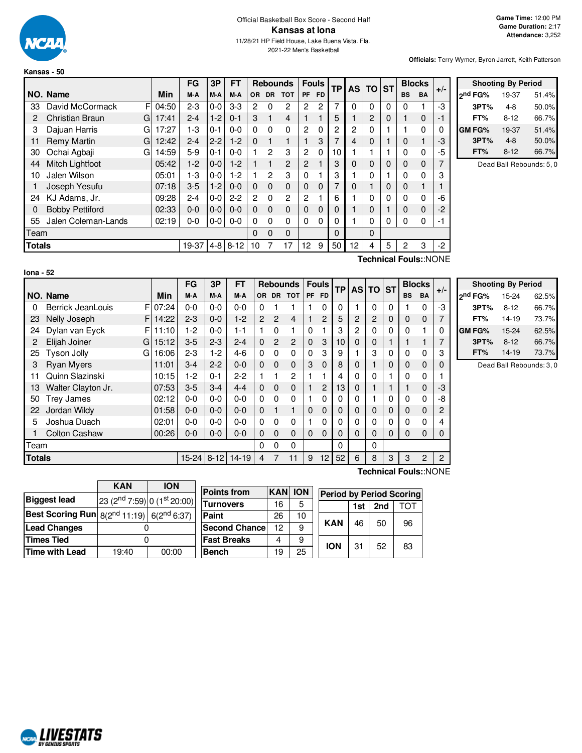

#### Official Basketball Box Score - Second Half **Kansas at Iona** 11/28/21 HP Field House, Lake Buena Vista. Fla. 2021-22 Men's Basketball

**Officials:** Terry Wymer, Byron Jarrett, Keith Patterson

|               |                        |   |       | FG      | 3P      | <b>FT</b> |                |           | <b>Rebounds</b> | <b>Fouls</b>   |             | <b>TP</b> | <b>AS</b> | <b>TO</b>      | <b>ST</b> |           | <b>Blocks</b> | $+/-$ |
|---------------|------------------------|---|-------|---------|---------|-----------|----------------|-----------|-----------------|----------------|-------------|-----------|-----------|----------------|-----------|-----------|---------------|-------|
|               | NO. Name               |   | Min   | M-A     | M-A     | M-A       | <b>OR</b>      | <b>DR</b> | <b>TOT</b>      | <b>PF</b>      | <b>FD</b>   |           |           |                |           | <b>BS</b> | <b>BA</b>     |       |
| 33            | David McCormack        | F | 04:50 | $2 - 3$ | $0 - 0$ | $3-3$     | 2              | 0         | 2               | 2              | 2           | 7         | 0         | 0              | 0         | 0         |               | -3    |
| 2             | Christian Braun        | G | 17:41 | $2 - 4$ | $1-2$   | $0 - 1$   | 3              | 1         | $\overline{4}$  |                |             | 5         |           | $\overline{c}$ | 0         |           | 0             | -1    |
| 3             | Dajuan Harris          | G | 17:27 | $1-3$   | $0 - 1$ | $0 - 0$   | $\Omega$       | 0         | $\Omega$        | 2              | $\Omega$    | 2         | 2         | 0              |           |           | 0             | 0     |
| 11            | <b>Remy Martin</b>     | G | 12:42 | $2 - 4$ | $2 - 2$ | $1-2$     | $\Omega$       | 1         | 1               |                | 3           | 7         | 4         | $\mathbf 0$    |           | 0         |               | -3    |
| 30            | Ochai Agbaji           | G | 14:59 | $5-9$   | $0 - 1$ | $0 - 0$   |                | 2         | 3               | $\overline{2}$ | $\Omega$    | 10        |           |                |           | 0         | 0             | -5    |
| 44            | Mitch Lightfoot        |   | 05:42 | $1-2$   | $0 - 0$ | $1-2$     |                | 1         | $\overline{2}$  | 2              |             | 3         | 0         | $\Omega$       | 0         | 0         | 0             | 7     |
| 10            | Jalen Wilson           |   | 05:01 | $1-3$   | $0-0$   | $1-2$     |                | 2         | 3               | 0              |             | 3         |           | 0              |           | 0         | 0             | 3     |
|               | Joseph Yesufu          |   | 07:18 | $3-5$   | $1-2$   | $0 - 0$   | $\Omega$       | $\Omega$  | $\Omega$        | 0              | 0           | 7         | $\Omega$  |                | 0         | 0         |               |       |
| 24            | KJ Adams, Jr.          |   | 09:28 | $2 - 4$ | $0 - 0$ | $2 - 2$   | $\overline{2}$ | $\Omega$  | $\overline{2}$  | 2              |             | 6         |           | $\mathbf 0$    | 0         | 0         | 0             | -6    |
| 0             | <b>Bobby Pettiford</b> |   | 02:33 | $0 - 0$ | $0-0$   | $0 - 0$   | $\Omega$       | $\Omega$  | $\mathbf 0$     | $\Omega$       | $\mathbf 0$ | 0         |           | $\mathbf 0$    |           | 0         | 0             | -2    |
| 55            | Jalen Coleman-Lands    |   | 02:19 | 0-0     | $0-0$   | $0 - 0$   | 0              | $\Omega$  | 0               | 0              | $\Omega$    | 0         |           | 0              | 0         | 0         | 0             | -1    |
| Team          |                        |   |       |         |         |           | 0              | 0         | $\Omega$        |                |             | 0         |           | $\Omega$       |           |           |               |       |
| <b>Totals</b> |                        |   |       | 19-37   | $4 - 8$ | $8 - 12$  | 10             |           | 17              | 12             | 9           | 50        | 12        | 4              | 5         | 2         | 3             | $-2$  |

|               | <b>Shooting By Period</b> |       |
|---------------|---------------------------|-------|
| ond FG%       | 19-37                     | 51.4% |
| 3PT%          | 4-8                       | 50.0% |
| FT%           | $8 - 12$                  | 66.7% |
| <b>GM FG%</b> | 19-37                     | 51.4% |
| 3PT%          | $4 - 8$                   | 50.0% |
| FT%           | $8 - 12$                  | 66.7% |

Dead Ball Rebounds: 5, 0

| I<br>m<br>nя<br>ı |  |
|-------------------|--|
|                   |  |

**Technical Fouls:**:NONE

|               |                         |       | <b>FG</b>  | 3P      | FТ        | <b>Rebounds</b> |                |                | <b>Fouls</b> | <b>TP</b>      | <b>AS</b>   | <b>TO</b>      | <b>ST</b>      |   | <b>Blocks</b> | $+/-$ |          |  |
|---------------|-------------------------|-------|------------|---------|-----------|-----------------|----------------|----------------|--------------|----------------|-------------|----------------|----------------|---|---------------|-------|----------|--|
|               | NO. Name                | Min   | M-A        | M-A     | M-A       | OR.             |                | DR TOT         | PF           | <b>FD</b>      |             |                |                |   | <b>BS</b>     | BA    |          |  |
| 0             | F<br>Berrick JeanLouis  | 07:24 | $0-0$      | $0 - 0$ | $0 - 0$   | $\Omega$        |                |                |              | 0              | $\Omega$    |                | 0              | 0 |               | 0     | -3       |  |
| 23            | Nelly Joseph<br>F       | 14:22 | $2 - 3$    | $0 - 0$ | $1-2$     | $\overline{2}$  | $\overline{2}$ | 4              |              | $\overline{c}$ | 5           | $\overline{2}$ | $\overline{c}$ | 0 | $\Omega$      | 0     | 7        |  |
| 24            | Dylan van Eyck<br>F.    | 11:10 | $1-2$      | $0 - 0$ | $1 - 1$   |                 | $\Omega$       | 1              | 0            |                | 3           | 2              | 0              | 0 | $\Omega$      |       | 0        |  |
| 2             | Elijah Joiner<br>GI     | 15:12 | $3-5$      | $2 - 3$ | $2 - 4$   | $\Omega$        | $\overline{2}$ | $\overline{2}$ | $\Omega$     | 3              | 10          | 0              | 0              |   |               |       | 7        |  |
| 25            | <b>Tyson Jolly</b><br>G | 16:06 | $2 - 3$    | $1-2$   | $4-6$     | $\Omega$        | $\Omega$       | 0              | $\Omega$     | 3              | 9           |                | 3              | 0 | 0             | 0     | 3        |  |
| 3             | <b>Ryan Myers</b>       | 11:01 | $3 - 4$    | $2 - 2$ | $0 - 0$   | $\Omega$        | $\Omega$       | $\mathbf 0$    | 3            | $\mathbf 0$    | 8           | 0              |                | 0 | $\Omega$      | 0     | $\Omega$ |  |
| 11            | Quinn Slazinski         | 10:15 | $1-2$      | $0 - 1$ | $2 - 2$   |                 |                | 2              |              |                | 4           | 0              | 0              |   | 0             | 0     |          |  |
| 13            | Walter Clayton Jr.      | 07:53 | $3-5$      | $3 - 4$ | $4 - 4$   | $\Omega$        | $\Omega$       | 0              |              | 2              | 13          | 0              |                |   |               | 0     | -3       |  |
| 50            | <b>Trey James</b>       | 02:12 | $0 - 0$    | $0 - 0$ | $0 - 0$   | $\Omega$        | $\Omega$       | 0              |              | 0              | 0           | 0              |                | 0 | 0             | 0     | -8       |  |
| 22            | Jordan Wildy            | 01:58 | $0-0$      | $0 - 0$ | $0 - 0$   | $\Omega$        |                | 1              | $\Omega$     | $\Omega$       | $\mathbf 0$ | 0              | 0              | 0 | $\Omega$      | 0     | 2        |  |
| 5             | Joshua Duach            | 02:01 | $0-0$      | $0 - 0$ | $0 - 0$   | $\Omega$        | $\Omega$       | 0              |              | 0              | 0           | 0              | 0              | 0 | 0             | 0     | 4        |  |
|               | <b>Colton Cashaw</b>    | 00:26 | $0 - 0$    | $0 - 0$ | $0 - 0$   | $\Omega$        | $\Omega$       | 0              | $\Omega$     | 0              | $\Omega$    | 0              | $\Omega$       | 0 | $\Omega$      | 0     | $\Omega$ |  |
| Team          |                         |       |            |         |           | $\Omega$        | 0              | 0              |              |                | 0           |                | $\Omega$       |   |               |       |          |  |
| <b>Totals</b> |                         |       | 15-24 8-12 |         | $14 - 19$ | 4               |                | 11             | 9            | 12             | 52          | 6              | 8              | 3 | 3             | 2     | 2        |  |

|                     | <b>Shooting By Period</b> |       |
|---------------------|---------------------------|-------|
| 2 <sup>nd</sup> FG% | 15-24                     | 62.5% |
| 3PT%                | $8 - 12$                  | 66.7% |
| FT%                 | 14-19                     | 73.7% |
| GM FG%              | $15 - 24$                 | 62.5% |
| 3PT%                | $8 - 12$                  | 66.7% |
| FT%                 | $14-19$                   | 73.7% |

Dead Ball Rebounds: 3, 0

**Technical Fouls:**:NONE

|                                                            | <b>KAN</b>                              | <b>ION</b> |
|------------------------------------------------------------|-----------------------------------------|------------|
| <b>Biggest lead</b>                                        | 23 (2 <sup>nd</sup> 7:59) 0 (1st 20:00) |            |
| <b>Best Scoring Run</b> $8(2^{nd} 11:19)$ $6(2^{nd} 6:37)$ |                                         |            |
| <b>Lead Changes</b>                                        |                                         |            |
| <b>Times Tied</b>                                          |                                         |            |
| <b>Time with Lead</b>                                      | 19:40                                   | 00:00      |

| <b>Points from</b>    | <b>KAN</b> | <b>ION</b> | <b>Period by Period Scoring</b> |                   |    |    |    |  |  |  |  |
|-----------------------|------------|------------|---------------------------------|-------------------|----|----|----|--|--|--|--|
| Turnovers             | 16         |            |                                 | 2nd<br>ГОТ<br>1st |    |    |    |  |  |  |  |
| Paint                 | 26         | 10         |                                 |                   |    |    |    |  |  |  |  |
| <b>Second Chancel</b> | 12         | 9          |                                 | <b>KAN</b>        | 46 | 50 | 96 |  |  |  |  |
| <b>Fast Breaks</b>    |            | 9          |                                 |                   |    |    |    |  |  |  |  |
| <b>Bench</b>          | 19         | 25         |                                 | <b>ION</b>        | 31 | 52 | 83 |  |  |  |  |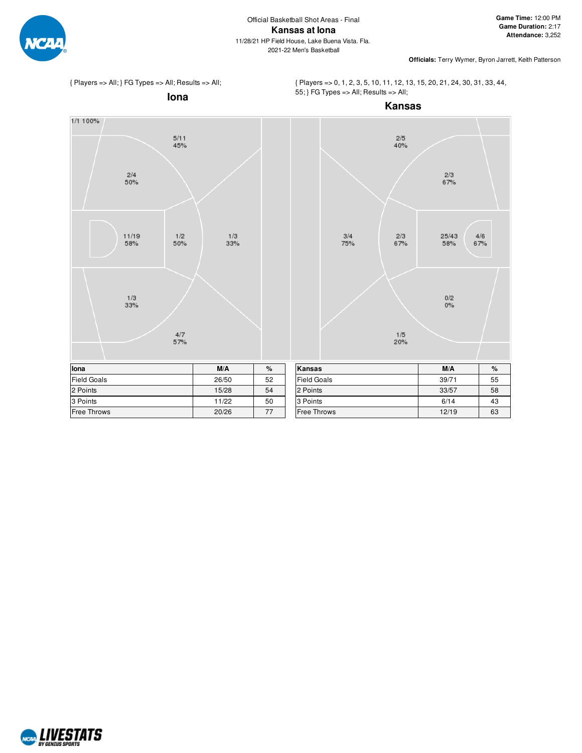



{ Players => 0, 1, 2, 3, 5, 10, 11, 12, 13, 15, 20, 21, 24, 30, 31, 33, 44, 55; } FG Types => All; Results => All;



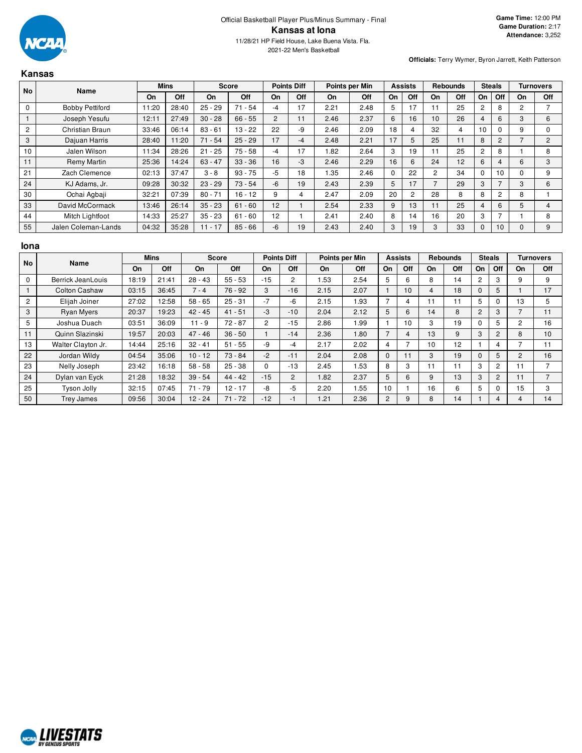

## **Kansas**

|                | No<br>Name             |       | <b>Mins</b> |           | <b>Score</b> |                | <b>Points Diff</b> |      | Points per Min |          | <b>Assists</b> |           | <b>Rebounds</b> |          | <b>Steals</b>  | <b>Turnovers</b> |                |
|----------------|------------------------|-------|-------------|-----------|--------------|----------------|--------------------|------|----------------|----------|----------------|-----------|-----------------|----------|----------------|------------------|----------------|
|                |                        | On    | Off         | On        | Off          | On             | Off                | On.  | Off            | On       | Off            | <b>On</b> | Off             | On       | Off            | On               | Off            |
| 0              | <b>Bobby Pettiford</b> | 11:20 | 28:40       | $25 - 29$ | $71 - 54$    | $-4$           | 17                 | 2.21 | 2.48           | 5        | 17             | 11        | 25              | 2        | 8              | 2                |                |
|                | Joseph Yesufu          | 12:11 | 27:49       | $30 - 28$ | $66 - 55$    | $\overline{2}$ |                    | 2.46 | 2.37           | 6        | 16             | 10        | 26              | 4        | 6              | 3                | 6              |
| $\overline{c}$ | Christian Braun        | 33:46 | 06:14       | $83 - 61$ | $13 - 22$    | 22             | -9                 | 2.46 | 2.09           | 18       | 4              | 32        | 4               | 10       | $\Omega$       | 9                |                |
| 3              | Dajuan Harris          | 28:40 | 11:20       | $71 - 54$ | $25 - 29$    | 17             | $-4$               | 2.48 | 2.21           | 17       | 5              | 25        | 11              | 8        | $\overline{2}$ |                  | $\overline{2}$ |
| 10             | Jalen Wilson           | 11:34 | 28:26       | $21 - 25$ | $75 - 58$    | -4             | 17                 | .82  | 2.64           | 3        | 19             |           | 25              | 2        | 8              |                  | 8              |
| 11             | Remy Martin            | 25:36 | 14:24       | $63 - 47$ | $33 - 36$    | 16             | $-3$               | 2.46 | 2.29           | 16       | 6              | 24        | 12 <sup>2</sup> | 6        | 4              | 6                | 3              |
| 21             | Zach Clemence          | 02:13 | 37:47       | $3 - 8$   | $93 - 75$    | $-5$           | 18                 | .35  | 2.46           | $\Omega$ | 22             | 2         | 34              | $\Omega$ | 10             | $\Omega$         | 9              |
| 24             | KJ Adams, Jr.          | 09:28 | 30:32       | $23 - 29$ | $73 - 54$    | -6             | 19                 | 2.43 | 2.39           | 5        | 17             |           | 29              | 3        |                | 3                | 6              |
| 30             | Ochai Agbaji           | 32:21 | 07:39       | $80 - 71$ | $16 - 12$    | 9              |                    | 2.47 | 2.09           | 20       | $\overline{c}$ | 28        | 8               | 8        | $\overline{c}$ | 8                |                |
| 33             | David McCormack        | 13:46 | 26:14       | $35 - 23$ | $61 - 60$    | 12             |                    | 2.54 | 2.33           | 9        | 13             | 11        | 25              | 4        | 6              | 5                |                |
| 44             | Mitch Lightfoot        | 14:33 | 25:27       | $35 - 23$ | $61 - 60$    | 12             |                    | 2.41 | 2.40           | 8        | 14             | 16        | 20              | 3        | ⇁              |                  |                |
| 55             | Jalen Coleman-Lands    | 04:32 | 35:28       | $11 - 17$ | $85 - 66$    | -6             | 19                 | 2.43 | 2.40           | 3        | 19             | 3         | 33              |          | 10             | $\Omega$         | 9              |

### **Iona**

| <b>No</b> | Name                 | <b>Mins</b> |       | <b>Score</b> |           | <b>Points Diff</b> |                | Points per Min |      |             | <b>Assists</b> | <b>Rebounds</b> |     | <b>Steals</b> |                | <b>Turnovers</b> |                |
|-----------|----------------------|-------------|-------|--------------|-----------|--------------------|----------------|----------------|------|-------------|----------------|-----------------|-----|---------------|----------------|------------------|----------------|
|           |                      | On          | Off   | On           | Off       | On                 | Off            | On             | Off  | On          | Off            | On              | Off | On            | Off            | On               | Off            |
| $\Omega$  | Berrick JeanLouis    | 18:19       | 21:41 | $28 - 43$    | $55 - 53$ | $-15$              | $\overline{2}$ | .53            | 2.54 | 5           | 6              | 8               | 14  | 2             | 3              | 9                | 9              |
|           | <b>Colton Cashaw</b> | 03:15       | 36:45 | $7 - 4$      | $76 - 92$ | 3                  | $-16$          | 2.15           | 2.07 |             | 10             | 4               | 18  | $\Omega$      | 5              |                  | 17             |
| 2         | Elijah Joiner        | 27:02       | 12:58 | $58 - 65$    | $25 - 31$ | $-7$               | -6             | 2.15           | 1.93 | ⇁           | 4              | 11              | 11  | 5             |                | 13               | 5              |
| 3         | <b>Ryan Myers</b>    | 20:37       | 19:23 | $42 - 45$    | $41 - 51$ | -3                 | $-10$          | 2.04           | 2.12 | 5           | 6              | 14              | 8   | 2             | 3              | ⇁                | 11             |
| 5         | Joshua Duach         | 03:51       | 36:09 | $11 - 9$     | $72 - 87$ | $\overline{2}$     | $-15$          | 2.86           | 1.99 |             | 10             | 3               | 19  | $\Omega$      | 5              | 2                | 16             |
| 11        | Quinn Slazinski      | 19:57       | 20:03 | $47 - 46$    | $36 - 50$ |                    | $-14$          | 2.36           | 1.80 |             | 4              | 13              | 9   | 3             | 2              | 8                | 10             |
| 13        | Walter Clayton Jr.   | 14:44       | 25:16 | $32 - 41$    | $51 - 55$ | -9                 | -4             | 2.17           | 2.02 | 4           | ⇁              | 10              | 12  |               |                |                  | 11             |
| 22        | Jordan Wildy         | 04:54       | 35:06 | $10 - 12$    | $73 - 84$ | $-2$               | $-11$          | 2.04           | 2.08 | $\mathbf 0$ | 11             | 3               | 19  | $\Omega$      | 5              | 2                | 16             |
| 23        | Nelly Joseph         | 23:42       | 16:18 | $58 - 58$    | $25 - 38$ | 0                  | $-13$          | 2.45           | 1.53 | 8           | 3              | 11              | 11  | 3             | $\overline{2}$ | 11               |                |
| 24        | Dylan van Eyck       | 21:28       | 18:32 | $39 - 54$    | $44 - 42$ | $-15$              | $\overline{2}$ | 1.82           | 2.37 | 5           | 6              | 9               | 13  | 3             | 2              |                  | $\overline{ }$ |
| 25        | Tyson Jolly          | 32:15       | 07:45 | $71 - 79$    | $12 - 17$ | -8                 | -5             | 2.20           | 1.55 | 10          |                | 16              | 6   | 5             | 0              | 15               | 3              |
| 50        | <b>Trey James</b>    | 09:56       | 30:04 | $12 - 24$    | $71 - 72$ | $-12$              | -1             | 1.21           | 2.36 | 2           | 9              | 8               | 14  |               | 4              | 4                | 14             |

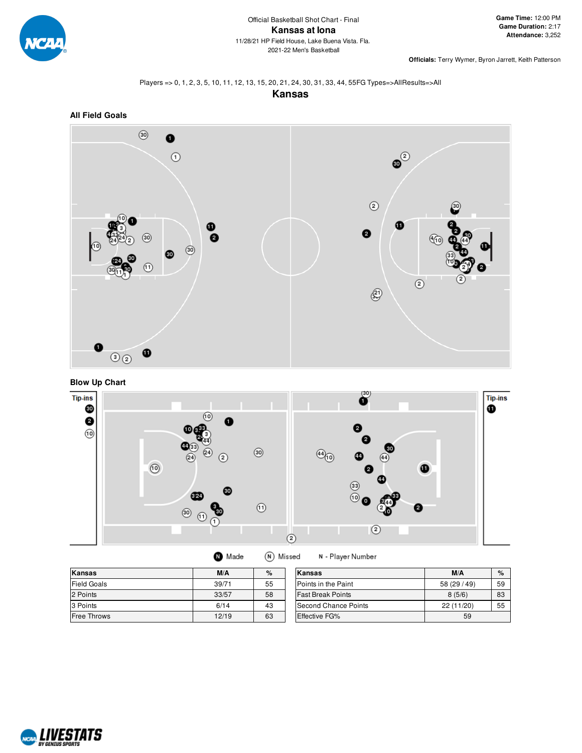

## Players => 0, 1, 2, 3, 5, 10, 11, 12, 13, 15, 20, 21, 24, 30, 31, 33, 44, 55FG Types=>AllResults=>All

**Kansas**



# **Blow Up Chart**



| <b>O</b> Made | (N) Missed |
|---------------|------------|
|               |            |

N - Player Number

| Kansas             | M/A   | $\%$ | Kansas                   | M/A          | $\%$ |
|--------------------|-------|------|--------------------------|--------------|------|
| <b>Field Goals</b> | 39/71 | 55   | Points in the Paint      | 58 (29 / 49) | 59   |
| 2 Points           | 33/57 | 58   | <b>Fast Break Points</b> | 8(5/6)       | 83   |
| 3 Points           | 6/14  | 43   | Second Chance Points     | 22(11/20)    | 55   |
| <b>Free Throws</b> | 12/19 | 63   | <b>Effective FG%</b>     | 59           |      |

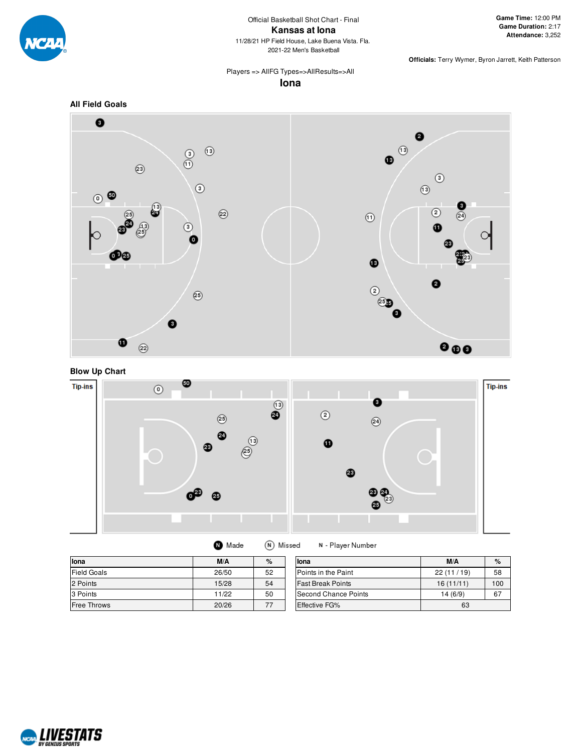

#### Official Basketball Shot Chart - Final **Kansas at Iona** 11/28/21 HP Field House, Lake Buena Vista. Fla. 2021-22 Men's Basketball

**Officials:** Terry Wymer, Byron Jarrett, Keith Patterson

## Players => AllFG Types=>AllResults=>All

**Iona**







| lona               | M/A   | $\%$ | llona                    | M/A       | $\%$ |
|--------------------|-------|------|--------------------------|-----------|------|
| <b>Field Goals</b> | 26/50 | 52   | Points in the Paint      | 22(11/19) | 58   |
| 2 Points           | 15/28 | 54   | <b>Fast Break Points</b> | 16(11/11) | 100  |
| 3 Points           | 11/22 | 50   | Second Chance Points     | 14(6/9)   | 67   |
| Free Throws        | 20/26 | 77   | <b>Effective FG%</b>     | 63        |      |

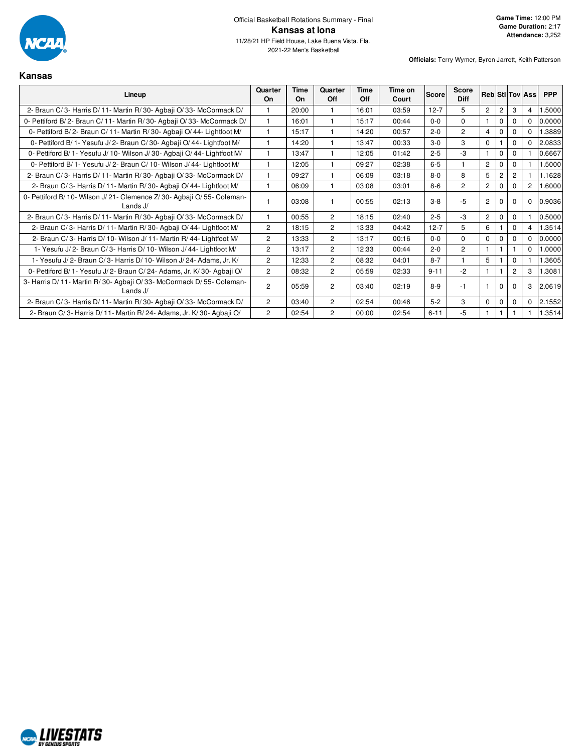

# **Kansas**

| Lineup                                                                               | Quarter<br><b>On</b>  | Time<br>On | Quarter<br><b>Off</b> | Time<br>Off | Time on<br>Court | <b>Score</b> | Score<br><b>Diff</b> |                |                |                | <b>Reb Stillov Assi</b> | <b>PPP</b> |
|--------------------------------------------------------------------------------------|-----------------------|------------|-----------------------|-------------|------------------|--------------|----------------------|----------------|----------------|----------------|-------------------------|------------|
| 2- Braun C/3- Harris D/11- Martin R/30- Agbaji O/33- McCormack D/                    | 1                     | 20:00      |                       | 16:01       | 03:59            | $12 - 7$     | 5                    | $\overline{c}$ | $\overline{2}$ | 3              | 4                       | 1.5000     |
| 0- Pettiford B/2- Braun C/11- Martin R/30- Agbaji O/33- McCormack D/                 | 1                     | 16:01      |                       | 15:17       | 00:44            | $0 - 0$      | $\Omega$             | $\mathbf 1$    | $\mathbf 0$    |                | $\Omega$                | 0.0000     |
| 0- Pettiford B/2- Braun C/11- Martin R/30- Agbaii O/44- Lightfoot M/                 | 1                     | 15:17      |                       | 14:20       | 00:57            | $2 - 0$      | $\overline{2}$       | 4              | 0              |                | $\Omega$                | 1.3889     |
| 0- Pettiford B/ 1- Yesufu J/ 2- Braun C/ 30- Agbaji O/ 44- Lightfoot M/              | 1                     | 14:20      |                       | 13:47       | 00:33            | $3-0$        | 3                    | $\mathbf 0$    |                | 0              | $\Omega$                | 2.0833     |
| 0- Pettiford B/1- Yesufu J/10- Wilson J/30- Agbaji O/44- Lightfoot M/                | 1                     | 13:47      |                       | 12:05       | 01:42            | $2 - 5$      | $-3$                 | $\mathbf{1}$   | $\mathbf 0$    | 0              |                         | 0.6667     |
| 0- Pettiford B/ 1- Yesufu J/ 2- Braun C/ 10- Wilson J/ 44- Lightfoot M/              | 1                     | 12:05      |                       | 09:27       | 02:38            | $6-5$        |                      | $\overline{2}$ | $\mathbf 0$    | 0              |                         | 1.5000     |
| 2- Braun C/3- Harris D/11- Martin R/30- Agbaji O/33- McCormack D/                    | 1                     | 09:27      |                       | 06:09       | 03:18            | $8 - 0$      | 8                    | 5              | $\overline{2}$ | 2              |                         | 1.1628     |
| 2- Braun C/3- Harris D/11- Martin R/30- Agbaji O/44- Lightfoot M/                    | 1                     | 06:09      |                       | 03:08       | 03:01            | $8 - 6$      | $\overline{2}$       | $\overline{2}$ | $\Omega$       | 0              | $\overline{2}$          | 1.6000     |
| 0- Pettiford B/10- Wilson J/21- Clemence Z/30- Agbaii O/55- Coleman-<br>Lands $J/$   | 1                     | 03:08      |                       | 00:55       | 02:13            | $3 - 8$      | $-5$                 | $\overline{c}$ |                | 0              | $\Omega$                | 0.9036     |
| 2- Braun C/3- Harris D/11- Martin R/30- Agbaji O/33- McCormack D/                    | 1                     | 00:55      | $\overline{2}$        | 18:15       | 02:40            | $2 - 5$      | $-3$                 | $\overline{2}$ | $\mathbf 0$    | $\Omega$       |                         | 0.5000     |
| 2- Braun C/3- Harris D/11- Martin R/30- Agbaji O/44- Lightfoot M/                    | $\overline{2}$        | 18:15      | 2                     | 13:33       | 04:42            | $12 - 7$     | 5                    | 6              |                | $\Omega$       | 4                       | 1.3514     |
| 2- Braun C/3- Harris D/10- Wilson J/11- Martin R/44- Lightfoot M/                    | $\overline{c}$        | 13:33      | $\overline{2}$        | 13:17       | 00:16            | $0 - 0$      | $\Omega$             | 0              | $\mathbf 0$    | $\Omega$       | $\Omega$                | 0.0000     |
| 1- Yesufu J/2- Braun C/3- Harris D/10- Wilson J/44- Lightfoot M/                     | 2                     | 13:17      | 2                     | 12:33       | 00:44            | $2 - 0$      | $\overline{2}$       |                |                |                | $\Omega$                | 1.0000     |
| 1- Yesufu J/2- Braun C/3- Harris D/10- Wilson J/24- Adams, Jr. K/                    | $\overline{2}$        | 12:33      | $\overline{2}$        | 08:32       | 04:01            | $8 - 7$      |                      | 5              |                | $\Omega$       |                         | 1.3605     |
| 0- Pettiford B/1- Yesufu J/2- Braun C/24- Adams, Jr. K/30- Agbaji O/                 | $\overline{2}$        | 08:32      | $\overline{2}$        | 05:59       | 02:33            | $9 - 11$     | $-2$                 |                |                | $\overline{2}$ | 3                       | 1.3081     |
| 3- Harris D/ 11- Martin R/ 30- Agbaji O/ 33- McCormack D/ 55- Coleman-<br>Lands $J/$ | $\overline{2}$        | 05:59      | $\overline{2}$        | 03:40       | 02:19            | $8-9$        | -1                   |                |                |                | 3                       | 2.0619     |
| 2- Braun C/3- Harris D/11- Martin R/30- Agbaji O/33- McCormack D/                    | $\overline{c}$        | 03:40      | $\overline{c}$        | 02:54       | 00:46            | $5-2$        | 3                    | 0              | $\Omega$       | 0              | $\Omega$                | 2.1552     |
| 2- Braun C/3- Harris D/11- Martin R/24- Adams, Jr. K/30- Agbaji O/                   | $\mathbf{2}^{\prime}$ | 02:54      | $\overline{2}$        | 00:00       | 02:54            | $6 - 11$     | -5                   |                |                |                |                         | 1.3514     |

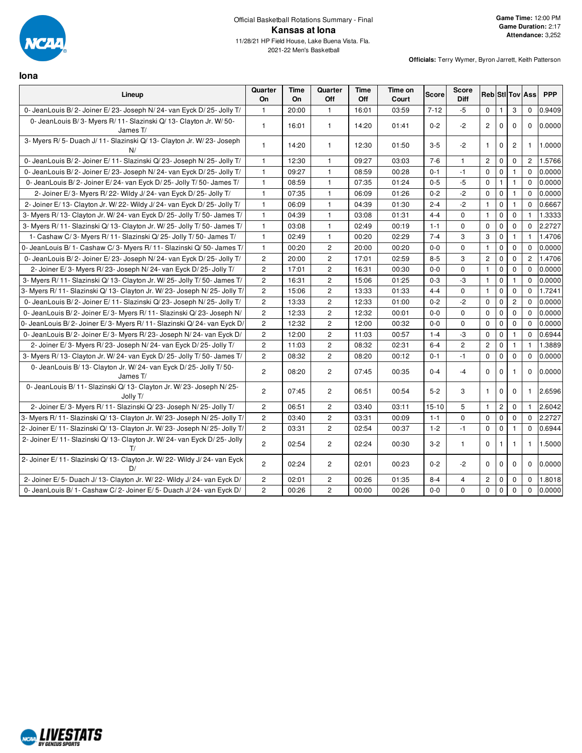

**Iona**

| Lineup                                                                            | Quarter<br>On  | Time<br>On | Quarter<br>Off        | Time<br>Off | Time on<br>Court | <b>Score</b> | <b>Score</b><br><b>Diff</b> |                |              |                         | <b>Reb</b> StilTov Ass | <b>PPP</b> |
|-----------------------------------------------------------------------------------|----------------|------------|-----------------------|-------------|------------------|--------------|-----------------------------|----------------|--------------|-------------------------|------------------------|------------|
| 0- JeanLouis B/2- Joiner E/23- Joseph N/24- van Eyck D/25- Jolly T/               | $\mathbf{1}$   | 20:00      | $\mathbf{1}$          | 16:01       | 03:59            | $7 - 12$     | $-5$                        | $\mathbf 0$    |              | 3                       | $\mathbf 0$            | 0.9409     |
| 0- JeanLouis B/3- Myers R/11- Slazinski Q/13- Clayton Jr. W/50-<br>James T/       | $\overline{1}$ | 16:01      | $\mathbf{1}$          | 14:20       | 01:41            | $0 - 2$      | $-2$                        | $\overline{2}$ | $\mathbf 0$  | $\mathbf 0$             | $\Omega$               | 0.0000     |
| 3- Myers R/5- Duach J/11- Slazinski Q/13- Clayton Jr. W/23- Joseph<br>N/          | $\mathbf{1}$   | 14:20      | $\mathbf{1}$          | 12:30       | 01:50            | $3-5$        | $-2$                        | $\mathbf{1}$   | $\mathbf 0$  | $\overline{c}$          | $\mathbf{1}$           | 1.0000     |
| 0- JeanLouis B/2- Joiner E/11- Slazinski Q/23- Joseph N/25- Jolly T/              | $\mathbf{1}$   | 12:30      | 1                     | 09:27       | 03:03            | $7-6$        | 1                           | $\overline{c}$ | 0            | 0                       | $\overline{c}$         | 1.5766     |
| 0- JeanLouis B/2- Joiner E/23- Joseph N/24- van Eyck D/25- Jolly T/               | 1              | 09:27      | 1                     | 08:59       | 00:28            | $0 - 1$      | $-1$                        | $\mathbf 0$    | $\mathbf 0$  | $\mathbf{1}$            | $\mathbf 0$            | 0.0000     |
| 0- JeanLouis B/2- Joiner E/24- van Eyck D/25- Jolly T/50- James T/                | $\mathbf{1}$   | 08:59      | $\mathbf{1}$          | 07:35       | 01:24            | $0 - 5$      | $-5$                        | $\mathbf 0$    | $\mathbf{1}$ | $\mathbf{1}$            | $\mathbf 0$            | 0.0000     |
| 2- Joiner E/3- Myers R/22- Wildy J/24- van Eyck D/25- Jolly T/                    | $\mathbf{1}$   | 07:35      | $\mathbf{1}$          | 06:09       | 01:26            | $0 - 2$      | $-2$                        | $\mathbf 0$    | $\mathbf 0$  | $\mathbf{1}$            | $\Omega$               | 0.0000     |
| 2- Joiner E/ 13- Clayton Jr. W/ 22- Wildy J/ 24- van Eyck D/ 25- Jolly T/         | $\mathbf{1}$   | 06:09      | $\mathbf{1}$          | 04:39       | 01:30            | $2 - 4$      | $-2$                        | $\mathbf{1}$   | $\mathbf 0$  | $\mathbf{1}$            | $\Omega$               | 0.6667     |
| 3- Myers R/ 13- Clayton Jr. W/ 24- van Eyck D/ 25- Jolly T/ 50- James T/          | $\mathbf{1}$   | 04:39      | $\mathbf{1}$          | 03:08       | 01:31            | $4 - 4$      | 0                           | $\mathbf{1}$   | $\mathbf 0$  | $\mathbf 0$             | $\mathbf{1}$           | 1.3333     |
| 3- Myers R/ 11- Slazinski Q/ 13- Clayton Jr. W/ 25- Jolly T/ 50- James T/         | $\mathbf{1}$   | 03:08      | $\mathbf{1}$          | 02:49       | 00:19            | $1 - 1$      | $\mathbf 0$                 | $\mathbf 0$    | $\mathbf{0}$ | $\mathbf 0$             | $\Omega$               | 2.2727     |
| 1- Cashaw C/3- Myers R/11- Slazinski Q/25- Jolly T/50- James T/                   | $\mathbf{1}$   | 02:49      | $\mathbf{1}$          | 00:20       | 02:29            | $7 - 4$      | 3                           | 3              | $\mathbf 0$  | 1                       | $\mathbf{1}$           | 1.4706     |
| 0- JeanLouis B/ 1- Cashaw C/ 3- Myers R/ 11- Slazinski Q/ 50- James T/            | $\overline{1}$ | 00:20      | $\overline{2}$        | 20:00       | 00:20            | $0 - 0$      | 0                           | $\mathbf{1}$   | $\mathbf{0}$ | 0                       | $\Omega$               | 0.0000     |
| 0- JeanLouis B/2- Joiner E/23- Joseph N/24- van Eyck D/25- Jolly T/               | $\overline{2}$ | 20:00      | $\overline{c}$        | 17:01       | 02:59            | $8 - 5$      | 3                           | 2              | $\mathbf 0$  | $\mathbf 0$             | $\overline{c}$         | 1.4706     |
| 2- Joiner E/3- Myers R/23- Joseph N/24- van Eyck D/25- Jolly T/                   | $\overline{2}$ | 17:01      | $\overline{2}$        | 16:31       | 00:30            | $0 - 0$      | $\Omega$                    | $\mathbf{1}$   | $\mathbf 0$  | $\mathbf 0$             | $\Omega$               | 0.0000     |
| 3- Myers R/ 11- Slazinski Q/ 13- Clayton Jr. W/ 25- Jolly T/ 50- James T/         | $\overline{2}$ | 16:31      | $\overline{c}$        | 15:06       | 01:25            | $0 - 3$      | $-3$                        | $\mathbf{1}$   | $\mathbf 0$  | $\mathbf{1}$            | $\Omega$               | 0.0000     |
| 3- Myers R/11- Slazinski Q/13- Clayton Jr. W/23- Joseph N/25- Jolly T/            | $\overline{c}$ | 15:06      | $\mathbf{2}$          | 13:33       | 01:33            | $4 - 4$      | 0                           | $\mathbf{1}$   | $\mathbf 0$  | 0                       | $\mathbf 0$            | 1.7241     |
| 0- JeanLouis B/2- Joiner E/11- Slazinski Q/23- Joseph N/25- Jolly T/              | $\mathbf{2}$   | 13:33      | $\overline{c}$        | 12:33       | 01:00            | $0 - 2$      | $-2$                        | $\pmb{0}$      | $\mathbf 0$  | $\overline{\mathbf{c}}$ | $\mathbf 0$            | 0.0000     |
| 0- JeanLouis B/2- Joiner E/3- Myers R/11- Slazinski Q/23- Joseph N/               | $\mathbf{2}$   | 12:33      | $\overline{c}$        | 12:32       | 00:01            | $0 - 0$      | 0                           | $\pmb{0}$      | $\mathbf 0$  | 0                       | $\mathbf 0$            | 0.0000     |
| 0- JeanLouis B/2- Joiner E/3- Myers R/11- Slazinski Q/24- van Eyck D/             | $\mathbf{2}$   | 12:32      | $\mathbf{2}$          | 12:00       | 00:32            | $0 - 0$      | 0                           | $\pmb{0}$      | $\mathbf 0$  | $\mathbf 0$             | $\mathbf 0$            | 0.0000     |
| 0- JeanLouis B/2- Joiner E/3- Myers R/23- Joseph N/24- van Eyck D/                | $\overline{c}$ | 12:00      | $\overline{c}$        | 11:03       | 00:57            | $1 - 4$      | -3                          | $\mathbf 0$    | $\mathbf 0$  | $\mathbf{1}$            | $\Omega$               | 0.6944     |
| 2- Joiner E/3- Myers R/23- Joseph N/24- van Eyck D/25- Jolly T/                   | $\overline{c}$ | 11:03      | $\overline{c}$        | 08:32       | 02:31            | $6 - 4$      | $\overline{c}$              | $\overline{c}$ | $\mathbf{0}$ | $\mathbf{1}$            | $\mathbf{1}$           | 1.3889     |
| 3- Myers R/ 13- Clayton Jr. W/ 24- van Eyck D/ 25- Jolly T/ 50- James T/          | $\overline{c}$ | 08:32      | $\mathbf{2}$          | 08:20       | 00:12            | $0 - 1$      | $-1$                        | $\mathbf 0$    | $\mathbf 0$  | $\mathbf 0$             | $\Omega$               | 0.0000     |
| 0- JeanLouis B/ 13- Clayton Jr. W/ 24- van Eyck D/ 25- Jolly T/ 50-<br>James T/   | $\overline{2}$ | 08:20      | $\overline{c}$        | 07:45       | 00:35            | $0 - 4$      | $-4$                        | $\mathbf 0$    | 0            |                         | $\mathbf 0$            | 0.0000     |
| 0- JeanLouis B/ 11- Slazinski Q/ 13- Clayton Jr. W/ 23- Joseph N/ 25-<br>Jolly T/ | $\mathbf{2}$   | 07:45      | $\overline{2}$        | 06:51       | 00:54            | $5 - 2$      | 3                           | $\mathbf{1}$   | $\mathbf{0}$ | 0                       | $\mathbf{1}$           | 2.6596     |
| 2- Joiner E/3- Myers R/11- Slazinski Q/23- Joseph N/25- Jolly T/                  | $\overline{c}$ | 06:51      | $\mathbf{2}^{\prime}$ | 03:40       | 03:11            | $15 - 10$    | 5                           | $\mathbf{1}$   | $\sqrt{2}$   | 0                       | $\mathbf{1}$           | 2.6042     |
| 3- Myers R/11- Slazinski Q/13- Clayton Jr. W/23- Joseph N/25- Jolly T/            | $\overline{c}$ | 03:40      | $\overline{c}$        | 03:31       | 00:09            | $1 - 1$      | 0                           | $\mathbf 0$    | $\mathbf 0$  | $\mathbf 0$             | $\mathbf 0$            | 2.2727     |
| 2- Joiner E/11- Slazinski Q/13- Clayton Jr. W/23- Joseph N/25- Jolly T/           | $\overline{c}$ | 03:31      | $\overline{c}$        | 02:54       | 00:37            | $1 - 2$      | $-1$                        | $\mathbf 0$    | $\mathbf 0$  | $\mathbf{1}$            | $\Omega$               | 0.6944     |
| 2- Joiner E/ 11- Slazinski Q/ 13- Clayton Jr. W/ 24- van Eyck D/ 25- Jolly<br>T/  | $\overline{c}$ | 02:54      | $\mathbf{2}$          | 02:24       | 00:30            | $3 - 2$      | $\mathbf{1}$                | $\mathbf 0$    | 1            | $\mathbf{1}$            | $\mathbf{1}$           | 1.5000     |
| 2- Joiner E/ 11- Slazinski Q/ 13- Clayton Jr. W/ 22- Wildy J/ 24- van Eyck<br>D/  | $\overline{2}$ | 02:24      | $\overline{2}$        | 02:01       | 00:23            | $0 - 2$      | $-2$                        | $\Omega$       | $\mathbf 0$  | $\mathbf 0$             | $\Omega$               | 0.0000     |
| 2- Joiner E/5- Duach J/13- Clayton Jr. W/22- Wildy J/24- van Eyck D/              | $\mathbf{2}$   | 02:01      | $\mathbf{2}$          | 00:26       | 01:35            | $8 - 4$      | 4                           | $\overline{c}$ | $\mathbf 0$  | 0                       | $\mathbf 0$            | 1.8018     |
| 0- JeanLouis B/ 1- Cashaw C/ 2- Joiner E/ 5- Duach J/ 24- van Eyck D/             | $\overline{c}$ | 00:26      | $\mathbf{2}$          | 00:00       | 00:26            | $0-0$        | 0                           | $\mathsf 0$    | $\mathbf 0$  | $\mathbf 0$             | $\mathbf 0$            | 0.0000     |

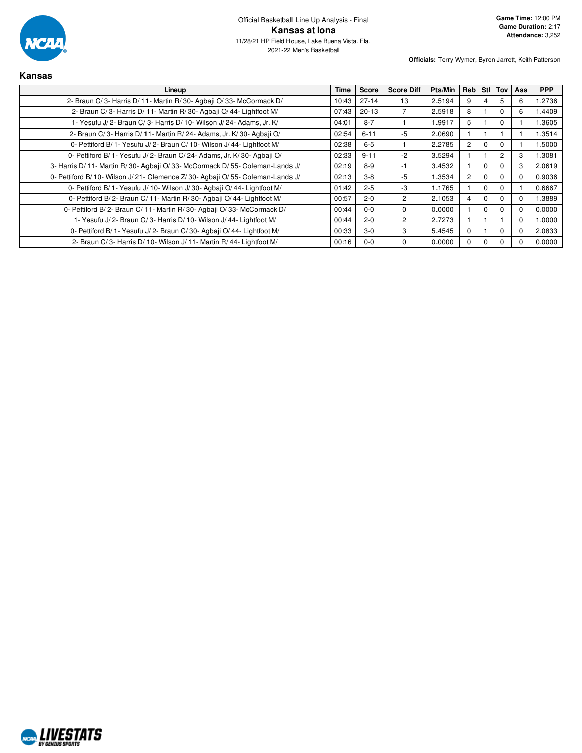

| <b>Kansas</b>                                                                |             |              |                   |         |                |          |                |          |            |
|------------------------------------------------------------------------------|-------------|--------------|-------------------|---------|----------------|----------|----------------|----------|------------|
| Lineup                                                                       | <b>Time</b> | <b>Score</b> | <b>Score Diff</b> | Pts/Min | Reb            |          | Stil Toy       | Ass      | <b>PPP</b> |
| 2- Braun C/3- Harris D/11- Martin R/30- Agbaii O/33- McCormack D/            | 10:43       | $27 - 14$    | 13                | 2.5194  | 9              |          | 5              | 6        | 1.2736     |
| 2- Braun C/3- Harris D/11- Martin R/30- Agbaii O/44- Lightfoot M/            | 07:43       | $20 - 13$    |                   | 2.5918  | 8              |          | $\Omega$       | 6        | 1.4409     |
| 1- Yesufu J/2- Braun C/3- Harris D/10- Wilson J/24- Adams, Jr. K/            | 04:01       | $8 - 7$      |                   | 1.9917  | 5              |          | $\Omega$       |          | 1.3605     |
| 2- Braun C/3- Harris D/11- Martin R/24- Adams, Jr. K/30- Agbaji O/           | 02:54       | $6 - 11$     | $-5$              | 2.0690  |                |          |                |          | 1.3514     |
| 0- Pettiford B/ 1- Yesufu J/ 2- Braun C/ 10- Wilson J/ 44- Lightfoot M/      | 02:38       | $6-5$        |                   | 2.2785  | $\overline{c}$ | 0        | $\Omega$       |          | 1.5000     |
| 0- Pettiford B/ 1- Yesufu J/ 2- Braun C/ 24- Adams, Jr. K/ 30- Agbaji O/     | 02:33       | $9 - 11$     | $-2$              | 3.5294  |                |          | $\overline{2}$ | 3        | 1.3081     |
| 3- Harris D/11- Martin R/30- Agbaji O/33- McCormack D/55- Coleman-Lands J/   | 02:19       | $8-9$        | -1                | 3.4532  |                | 0        | $\Omega$       | 3        | 2.0619     |
| 0- Pettiford B/10- Wilson J/21- Clemence Z/30- Agbaji O/55- Coleman-Lands J/ | 02:13       | $3 - 8$      | $-5$              | 1.3534  | $\overline{2}$ | $^{(1)}$ | $\Omega$       | $\Omega$ | 0.9036     |
| 0- Pettiford B/ 1- Yesufu J/ 10- Wilson J/ 30- Agbaii O/ 44- Lightfoot M/    | 01:42       | $2 - 5$      | $-3$              | 1.1765  |                | $_{0}$   | $\Omega$       |          | 0.6667     |
| 0- Pettiford B/2- Braun C/11- Martin R/30- Agbaji O/44- Lightfoot M/         | 00:57       | $2 - 0$      | $\overline{2}$    | 2.1053  | 4              |          | $\Omega$       | $\Omega$ | 1.3889     |
| 0- Pettiford B/2- Braun C/11- Martin R/30- Agbaii O/33- McCormack D/         | 00:44       | $0 - 0$      | $\Omega$          | 0.0000  |                | 0        | $\Omega$       | $\Omega$ | 0.0000     |
| 1- Yesufu J/2- Braun C/3- Harris D/10- Wilson J/44- Lightfoot M/             | 00:44       | $2 - 0$      | $\overline{2}$    | 2.7273  |                |          |                | $\Omega$ | 1.0000     |
| 0- Pettiford B/ 1- Yesufu J/ 2- Braun C/ 30- Agbaji O/ 44- Lightfoot M/      | 00:33       | $3-0$        | 3                 | 5.4545  | $\Omega$       |          | $\Omega$       | $\Omega$ | 2.0833     |
| 2- Braun C/3- Harris D/10- Wilson J/11- Martin R/44- Lightfoot M/            | 00:16       | $0 - 0$      | $\Omega$          | 0.0000  | $\Omega$       | 0        | $\Omega$       |          | 0.0000     |